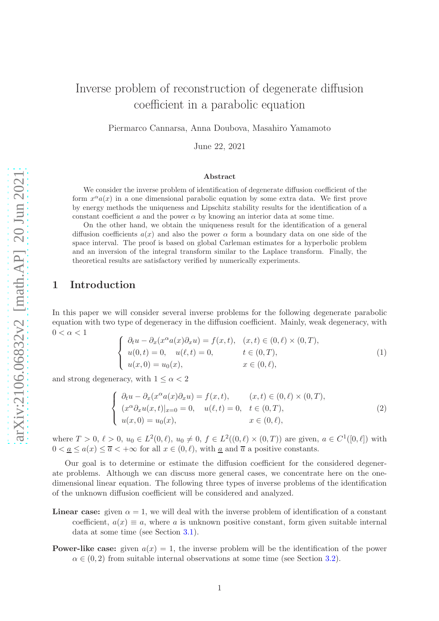# Inverse problem of reconstruction of degenerate diffusion coefficient in a parabolic equation

Piermarco Cannarsa, Anna Doubova, Masahiro Yamamoto

June 22, 2021

#### Abstract

We consider the inverse problem of identification of degenerate diffusion coefficient of the form  $x^{\alpha}a(x)$  in a one dimensional parabolic equation by some extra data. We first prove by energy methods the uniqueness and Lipschitz stability results for the identification of a constant coefficient a and the power  $\alpha$  by knowing an interior data at some time.

On the other hand, we obtain the uniqueness result for the identification of a general diffusion coefficients  $a(x)$  and also the power  $\alpha$  form a boundary data on one side of the space interval. The proof is based on global Carleman estimates for a hyperbolic problem and an inversion of the integral transform similar to the Laplace transform. Finally, the theoretical results are satisfactory verified by numerically experiments.

# 1 Introduction

In this paper we will consider several inverse problems for the following degenerate parabolic equation with two type of degeneracy in the diffusion coefficient. Mainly, weak degeneracy, with  $0 < \alpha < 1$ 

<span id="page-0-0"></span>
$$
\begin{cases}\n\partial_t u - \partial_x(x^{\alpha}a(x)\partial_x u) = f(x,t), & (x,t) \in (0,\ell) \times (0,T), \\
u(0,t) = 0, & u(\ell,t) = 0, \quad t \in (0,T), \\
u(x,0) = u_0(x), & x \in (0,\ell),\n\end{cases}
$$
\n(1)

and strong degeneracy, with  $1 \leq \alpha < 2$ 

<span id="page-0-1"></span>
$$
\begin{cases}\n\partial_t u - \partial_x(x^\alpha a(x)\partial_x u) = f(x,t), & (x,t) \in (0,\ell) \times (0,T), \\
(x^\alpha \partial_x u(x,t)|_{x=0} = 0, & u(\ell,t) = 0, \quad t \in (0,T), \\
u(x,0) = u_0(x), & x \in (0,\ell),\n\end{cases}
$$
\n(2)

where  $T > 0$ ,  $\ell > 0$ ,  $u_0 \in L^2(0, \ell)$ ,  $u_0 \neq 0$ ,  $f \in L^2((0, \ell) \times (0, T))$  are given,  $a \in C^1([0, \ell])$  with  $0 < a \leq a(x) \leq \overline{a} < +\infty$  for all  $x \in (0, \ell)$ , with a and  $\overline{a}$  a positive constants.

Our goal is to determine or estimate the diffusion coefficient for the considered degenerate problems. Although we can discuss more general cases, we concentrate here on the onedimensional linear equation. The following three types of inverse problems of the identification of the unknown diffusion coefficient will be considered and analyzed.

- **Linear case:** given  $\alpha = 1$ , we will deal with the inverse problem of identification of a constant coefficient,  $a(x) \equiv a$ , where a is unknown positive constant, form given suitable internal data at some time (see Section [3.1\)](#page-4-0).
- **Power-like case:** given  $a(x) = 1$ , the inverse problem will be the identification of the power  $\alpha \in (0, 2)$  from suitable internal observations at some time (see Section [3.2\)](#page-6-0).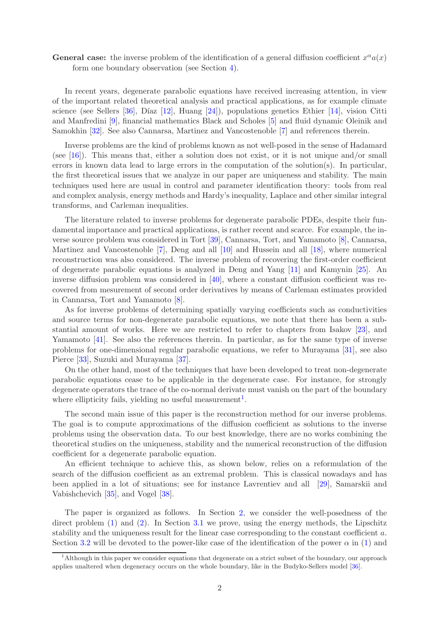# **General case:** the inverse problem of the identification of a general diffusion coefficient  $x^{\alpha}a(x)$ form one boundary observation (see Section [4\)](#page-8-0).

In recent years, degenerate parabolic equations have received increasing attention, in view of the important related theoretical analysis and practical applications, as for example climate science (see Sellers [\[36\]](#page-38-0), Díaz [\[12\]](#page-36-0), Huang [\[24\]](#page-37-0)), populations genetics Ethier [\[14\]](#page-36-1), vision Citti and Manfredini [\[9\]](#page-36-2), financial mathematics Black and Scholes [\[5\]](#page-36-3) and fluid dynamic Oleinik and Samokhin [\[32\]](#page-37-1). See also Cannarsa, Martinez and Vancostenoble [\[7\]](#page-36-4) and references therein.

Inverse problems are the kind of problems known as not well-posed in the sense of Hadamard (see [\[16\]](#page-37-2)). This means that, either a solution does not exist, or it is not unique and/or small errors in known data lead to large errors in the computation of the solution(s). In particular, the first theoretical issues that we analyze in our paper are uniqueness and stability. The main techniques used here are usual in control and parameter identification theory: tools from real and complex analysis, energy methods and Hardy's inequality, Laplace and other similar integral transforms, and Carleman inequalities.

The literature related to inverse problems for degenerate parabolic PDEs, despite their fundamental importance and practical applications, is rather recent and scarce. For example, the inverse source problem was considered in Tort [\[39\]](#page-38-1), Cannarsa, Tort, and Yamamoto [\[8\]](#page-36-5), Cannarsa, Martinez and Vancostenoble [\[7\]](#page-36-4), Deng and all [\[10\]](#page-36-6) and Hussein and all [\[18\]](#page-37-3), where numerical reconstruction was also considered. The inverse problem of recovering the first-order coefficient of degenerate parabolic equations is analyzed in Deng and Yang [\[11\]](#page-36-7) and Kamynin [\[25\]](#page-37-4). An inverse diffusion problem was considered in [\[40\]](#page-38-2), where a constant diffusion coefficient was recovered from mesurement of second order derivatives by means of Carleman estimates provided in Cannarsa, Tort and Yamamoto [\[8\]](#page-36-5).

As for inverse problems of determining spatially varying coefficients such as conductivities and source terms for non-degenerate parabolic equations, we note that there has been a substantial amount of works. Here we are restricted to refer to chapters from Isakov [\[23\]](#page-37-5), and Yamamoto [\[41\]](#page-38-3). See also the references therein. In particular, as for the same type of inverse problems for one-dimensional regular parabolic equations, we refer to Murayama [\[31\]](#page-37-6), see also Pierce [\[33\]](#page-37-7), Suzuki and Murayama [\[37\]](#page-38-4).

On the other hand, most of the techniques that have been developed to treat non-degenerate parabolic equations cease to be applicable in the degenerate case. For instance, for strongly degenerate operators the trace of the co-normal derivate must vanish on the part of the boundary where ellipticity fails, yielding no useful measurement<sup>[1](#page-1-0)</sup>.

The second main issue of this paper is the reconstruction method for our inverse problems. The goal is to compute approximations of the diffusion coefficient as solutions to the inverse problems using the observation data. To our best knowledge, there are no works combining the theoretical studies on the uniqueness, stability and the numerical reconstruction of the diffusion coefficient for a degenerate parabolic equation.

An efficient technique to achieve this, as shown below, relies on a reformulation of the search of the diffusion coefficient as an extremal problem. This is classical nowadays and has been applied in a lot of situations; see for instance Lavrentiev and all [\[29\]](#page-37-8), Samarskii and Vabishchevich [\[35\]](#page-38-5), and Vogel [\[38\]](#page-38-6).

The paper is organized as follows. In Section [2,](#page-2-0) we consider the well-posedness of the direct problem [\(1\)](#page-0-0) and [\(2\)](#page-0-1). In Section [3.1](#page-4-0) we prove, using the energy methods, the Lipschitz stability and the uniqueness result for the linear case corresponding to the constant coefficient a. Section [3.2](#page-6-0) will be devoted to the power-like case of the identification of the power  $\alpha$  in [\(1\)](#page-0-0) and

<span id="page-1-0"></span><sup>&</sup>lt;sup>1</sup>Although in this paper we consider equations that degenerate on a strict subset of the boundary, our approach applies unaltered when degeneracy occurs on the whole boundary, like in the Budyko-Sellers model [\[36\]](#page-38-0).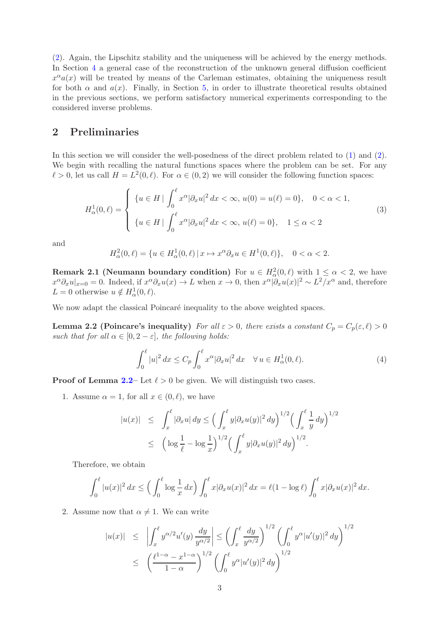[\(2\)](#page-0-1). Again, the Lipschitz stability and the uniqueness will be achieved by the energy methods. In Section [4](#page-8-0) a general case of the reconstruction of the unknown general diffusion coefficient  $x^{\alpha}a(x)$  will be treated by means of the Carleman estimates, obtaining the uniqueness result for both  $\alpha$  and  $a(x)$ . Finally, in Section [5,](#page-25-0) in order to illustrate theoretical results obtained in the previous sections, we perform satisfactory numerical experiments corresponding to the considered inverse problems.

# <span id="page-2-0"></span>2 Preliminaries

In this section we will consider the well-posedness of the direct problem related to [\(1\)](#page-0-0) and [\(2\)](#page-0-1). We begin with recalling the natural functions spaces where the problem can be set. For any  $\ell > 0$ , let us call  $H = L^2(0, \ell)$ . For  $\alpha \in (0, 2)$  we will consider the following function spaces:

<span id="page-2-4"></span>
$$
H^1_{\alpha}(0,\ell) = \begin{cases} \n\{u \in H \mid \int_0^{\ell} x^{\alpha} |\partial_x u|^2 dx < \infty, \ u(0) = u(\ell) = 0 \}, & 0 < \alpha < 1, \\
\{u \in H \mid \int_0^{\ell} x^{\alpha} |\partial_x u|^2 dx < \infty, \ u(\ell) = 0 \}, & 1 \le \alpha < 2\n\end{cases} \tag{3}
$$

and

$$
H^2_{\alpha}(0,\ell) = \{ u \in H^1_{\alpha}(0,\ell) \, | \, x \mapsto x^{\alpha} \partial_x u \in H^1(0,\ell) \}, \quad 0 < \alpha < 2.
$$

<span id="page-2-2"></span>**Remark 2.1 (Neumann boundary condition)** For  $u \in H^2_\alpha(0, \ell)$  with  $1 \leq \alpha < 2$ , we have  $x^{\alpha}\partial_x u|_{x=0} = 0$ . Indeed, if  $x^{\alpha}\partial_x u(x) \to L$  when  $x \to 0$ , then  $x^{\alpha}|\partial_x u(x)|^2 \sim L^2/x^{\alpha}$  and, therefore  $L = 0$  otherwise  $u \notin H^1_\alpha(0, \ell)$ .

We now adapt the classical Poincaré inequality to the above weighted spaces.

**Lemma 2.2 (Poincare's inequality)** For all  $\varepsilon > 0$ , there exists a constant  $C_p = C_p(\varepsilon, \ell) > 0$ such that for all  $\alpha \in [0, 2-\varepsilon]$ , the following holds:

<span id="page-2-3"></span><span id="page-2-1"></span>
$$
\int_0^\ell |u|^2 dx \le C_p \int_0^\ell x^\alpha |\partial_x u|^2 dx \quad \forall u \in H^1_\alpha(0, \ell). \tag{4}
$$

**Proof of Lemma [2.2–](#page-2-1)** Let  $\ell > 0$  be given. We will distinguish two cases.

1. Assume  $\alpha = 1$ , for all  $x \in (0, \ell)$ , we have

$$
|u(x)| \leq \int_x^{\ell} |\partial_x u| dy \leq \left(\int_x^{\ell} y |\partial_x u(y)|^2 dy\right)^{1/2} \left(\int_x^{\ell} \frac{1}{y} dy\right)^{1/2}
$$
  

$$
\leq \left(\log \frac{1}{\ell} - \log \frac{1}{x}\right)^{1/2} \left(\int_x^{\ell} y |\partial_x u(y)|^2 dy\right)^{1/2}.
$$

Therefore, we obtain

$$
\int_0^\ell |u(x)|^2 dx \le \left(\int_0^\ell \log \frac{1}{x} dx\right) \int_0^\ell x |\partial_x u(x)|^2 dx = \ell(1 - \log \ell) \int_0^\ell x |\partial_x u(x)|^2 dx.
$$

2. Assume now that  $\alpha \neq 1$ . We can write

$$
|u(x)| \leq \left| \int_x^{\ell} y^{\alpha/2} u'(y) \frac{dy}{y^{\alpha/2}} \right| \leq \left( \int_x^{\ell} \frac{dy}{y^{\alpha/2}} \right)^{1/2} \left( \int_0^{\ell} y^{\alpha} |u'(y)|^2 dy \right)^{1/2}
$$
  

$$
\leq \left( \frac{\ell^{1-\alpha} - x^{1-\alpha}}{1-\alpha} \right)^{1/2} \left( \int_0^{\ell} y^{\alpha} |u'(y)|^2 dy \right)^{1/2}
$$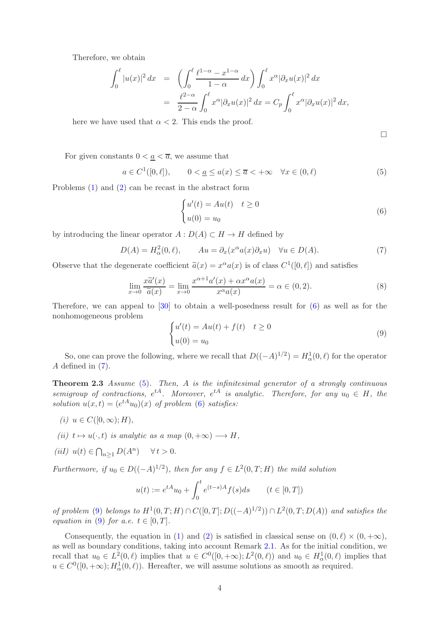Therefore, we obtain

$$
\int_0^\ell |u(x)|^2 dx = \left( \int_0^\ell \frac{\ell^{1-\alpha} - x^{1-\alpha}}{1-\alpha} dx \right) \int_0^\ell x^\alpha |\partial_x u(x)|^2 dx
$$
  
= 
$$
\frac{\ell^{2-\alpha}}{2-\alpha} \int_0^\ell x^\alpha |\partial_x u(x)|^2 dx = C_p \int_0^\ell x^\alpha |\partial_x u(x)|^2 dx,
$$

here we have used that  $\alpha < 2$ . This ends the proof.

 $\Box$ 

For given constants  $0 < \underline{a} < \overline{a}$ , we assume that

<span id="page-3-2"></span>
$$
a \in C^{1}([0, \ell]), \qquad 0 < \underline{a} \le a(x) \le \overline{a} < +\infty \quad \forall x \in (0, \ell)
$$
 (5)

Problems [\(1\)](#page-0-0) and [\(2\)](#page-0-1) can be recast in the abstract form

<span id="page-3-0"></span>
$$
\begin{cases}\nu'(t) = Au(t) & t \ge 0 \\
u(0) = u_0\n\end{cases}
$$
\n(6)

by introducing the linear operator  $A: D(A) \subset H \to H$  defined by

<span id="page-3-1"></span>
$$
D(A) = H_{\alpha}^{2}(0, \ell), \qquad Au = \partial_{x}(x^{\alpha}a(x)\partial_{x}u) \quad \forall u \in D(A). \tag{7}
$$

Observe that the degenerate coefficient  $\tilde{a}(x) = x^{\alpha} a(x)$  is of class  $C^1([0, \ell])$  and satisfies

$$
\lim_{x \to 0} \frac{x \tilde{a}'(x)}{\tilde{a}(x)} = \lim_{x \to 0} \frac{x^{\alpha+1} a'(x) + \alpha x^{\alpha} a(x)}{x^{\alpha} a(x)} = \alpha \in (0, 2).
$$
 (8)

Therefore, we can appeal to [\[30\]](#page-37-9) to obtain a well-posedness result for [\(6\)](#page-3-0) as well as for the nonhomogeneous problem

<span id="page-3-3"></span>
$$
\begin{cases}\nu'(t) = Au(t) + f(t) & t \ge 0 \\
u(0) = u_0\n\end{cases}
$$
\n(9)

<span id="page-3-4"></span>So, one can prove the following, where we recall that  $D((-A)^{1/2}) = H^1_\alpha(0, \ell)$  for the operator A defined in [\(7\)](#page-3-1).

**Theorem 2.3** Assume  $(5)$ . Then, A is the infinitesimal generator of a strongly continuous semigroup of contractions,  $e^{tA}$ . Moreover,  $e^{tA}$  is analytic. Therefore, for any  $u_0 \in H$ , the solution  $u(x,t) = (e^{tA}u_0)(x)$  of problem [\(6\)](#page-3-0) satisfies:

- (i)  $u \in C([0,\infty);H)$ ,
- (ii)  $t \mapsto u(\cdot, t)$  is analytic as a map  $(0, +\infty) \longrightarrow H$ ,
- (iiI)  $u(t) \in \bigcap_{n\geq 1} D(A^n) \quad \forall t > 0.$

Furthermore, if  $u_0 \in D((-A)^{1/2})$ , then for any  $f \in L^2(0,T;H)$  the mild solution

$$
u(t) := e^{tA}u_0 + \int_0^t e^{(t-s)A} f(s)ds \qquad (t \in [0, T])
$$

of problem [\(9\)](#page-3-3) belongs to  $H^1(0,T;H) \cap C([0,T];D((-A)^{1/2})) \cap L^2(0,T;D(A))$  and satisfies the equation in [\(9\)](#page-3-3) for a.e.  $t \in [0, T]$ .

Consequently, the equation in [\(1\)](#page-0-0) and [\(2\)](#page-0-1) is satisfied in classical sense on  $(0, \ell) \times (0, +\infty)$ , as well as boundary conditions, taking into account Remark [2.1.](#page-2-2) As for the initial condition, we recall that  $u_0 \in L^2(0, \ell)$  implies that  $u \in C^0([0, +\infty); L^2(0, \ell))$  and  $u_0 \in H^1_\alpha(0, \ell)$  implies that  $u \in C^0([0, +\infty); H^1_\alpha(0, \ell))$ . Hereafter, we will assume solutions as smooth as required.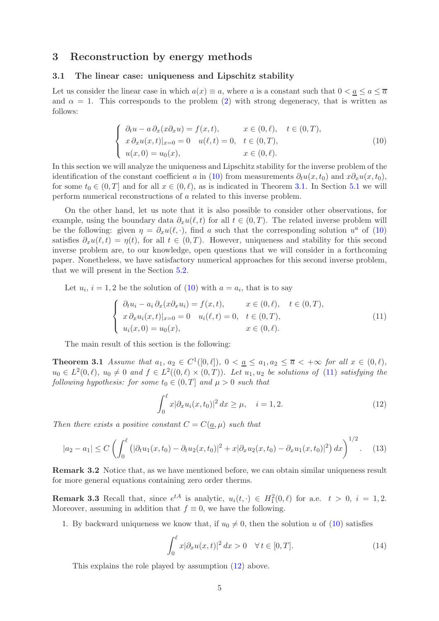# <span id="page-4-0"></span>3 Reconstruction by energy methods

# 3.1 The linear case: uniqueness and Lipschitz stability

Let us consider the linear case in which  $a(x) \equiv a$ , where a is a constant such that  $0 < \underline{a} \le a \le \overline{a}$ and  $\alpha = 1$ . This corresponds to the problem [\(2\)](#page-0-1) with strong degeneracy, that is written as follows:

<span id="page-4-1"></span>
$$
\begin{cases}\n\partial_t u - a \partial_x (x \partial_x u) = f(x, t), & x \in (0, \ell), \quad t \in (0, T), \\
x \partial_x u(x, t)|_{x=0} = 0 & u(\ell, t) = 0, \quad t \in (0, T), \\
u(x, 0) = u_0(x), & x \in (0, \ell).\n\end{cases}
$$
\n(10)

In this section we will analyze the uniqueness and Lipschitz stability for the inverse problem of the identification of the constant coefficient a in [\(10\)](#page-4-1) from measurements  $\partial_t u(x, t_0)$  and  $x \partial_x u(x, t_0)$ , for some  $t_0 \in (0,T]$  and for all  $x \in (0,\ell)$ , as is indicated in Theorem [3.1.](#page-4-2) In Section [5.1](#page-26-0) we will perform numerical reconstructions of a related to this inverse problem.

On the other hand, let us note that it is also possible to consider other observations, for example, using the boundary data  $\partial_x u(\ell, t)$  for all  $t \in (0, T)$ . The related inverse problem will be the following: given  $\eta = \partial_x u(\ell, \cdot)$ , find a such that the corresponding solution  $u^a$  of [\(10\)](#page-4-1) satisfies  $\partial_x u(\ell,t) = \eta(t)$ , for all  $t \in (0,T)$ . However, uniqueness and stability for this second inverse problem are, to our knowledge, open questions that we will consider in a forthcoming paper. Nonetheless, we have satisfactory numerical approaches for this second inverse problem, that we will present in the Section [5.2.](#page-29-0)

Let  $u_i$ ,  $i = 1, 2$  be the solution of [\(10\)](#page-4-1) with  $a = a_i$ , that is to say

<span id="page-4-3"></span>
$$
\begin{cases}\n\partial_t u_i - a_i \partial_x (x \partial_x u_i) = f(x, t), & x \in (0, \ell), \quad t \in (0, T), \\
x \partial_x u_i(x, t)|_{x=0} = 0 & u_i(\ell, t) = 0, \quad t \in (0, T), \\
u_i(x, 0) = u_0(x), & x \in (0, \ell).\n\end{cases}
$$
\n(11)

The main result of this section is the following:

**Theorem 3.1** Assume that  $a_1, a_2 \in C^1([0, \ell]), 0 < a \le a_1, a_2 \le \overline{a} < +\infty$  for all  $x \in (0, \ell),$  $u_0 \in L^2(0, \ell)$ ,  $u_0 \neq 0$  and  $f \in L^2((0, \ell) \times (0, T))$ . Let  $u_1, u_2$  be solutions of [\(11\)](#page-4-3) satisfying the following hypothesis: for some  $t_0 \in (0,T]$  and  $\mu > 0$  such that

<span id="page-4-4"></span><span id="page-4-2"></span>
$$
\int_0^{\ell} x |\partial_x u_i(x, t_0)|^2 dx \ge \mu, \quad i = 1, 2.
$$
 (12)

Then there exists a positive constant  $C = C(a, \mu)$  such that

$$
|a_2 - a_1| \le C \left( \int_0^\ell \left( |\partial_t u_1(x, t_0) - \partial_t u_2(x, t_0)|^2 + x |\partial_x u_2(x, t_0) - \partial_x u_1(x, t_0)|^2 \right) dx \right)^{1/2}.
$$
 (13)

Remark 3.2 Notice that, as we have mentioned before, we can obtain similar uniqueness result for more general equations containing zero order therms.

**Remark 3.3** Recall that, since  $e^{tA}$  is analytic,  $u_i(t, \cdot) \in H_1^2(0, \ell)$  for a.e.  $t > 0$ ,  $i = 1, 2$ . Moreover, assuming in addition that  $f \equiv 0$ , we have the following.

1. By backward uniqueness we know that, if  $u_0 \neq 0$ , then the solution u of [\(10\)](#page-4-1) satisfies

<span id="page-4-5"></span>
$$
\int_0^\ell x |\partial_x u(x, t)|^2 dx > 0 \quad \forall t \in [0, T]. \tag{14}
$$

This explains the role played by assumption [\(12\)](#page-4-4) above.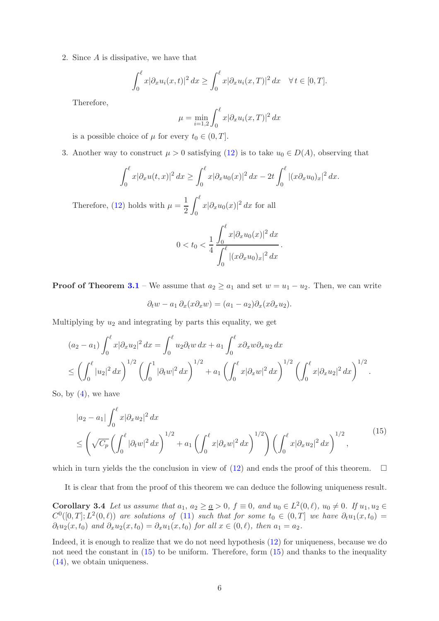2. Since A is dissipative, we have that

$$
\int_0^\ell x|\partial_x u_i(x,t)|^2 dx \ge \int_0^\ell x|\partial_x u_i(x,T)|^2 dx \quad \forall t \in [0,T].
$$

Therefore,

$$
\mu = \min_{i=1,2} \int_0^\ell x |\partial_x u_i(x,T)|^2 dx
$$

is a possible choice of  $\mu$  for every  $t_0 \in (0, T]$ .

3. Another way to construct  $\mu > 0$  satisfying [\(12\)](#page-4-4) is to take  $u_0 \in D(A)$ , observing that

$$
\int_0^\ell x|\partial_x u(t,x)|^2 dx \ge \int_0^\ell x|\partial_x u_0(x)|^2 dx - 2t \int_0^\ell |(x \partial_x u_0)_x|^2 dx.
$$

Therefore, [\(12\)](#page-4-4) holds with  $\mu = \frac{1}{2}$ 2  $\int_0^{\ell}$  $\int_0^{\pi} x |\partial_x u_0(x)|^2 dx$  for all

$$
0 < t_0 < \frac{1}{4} \frac{\int_0^{\ell} x |\partial_x u_0(x)|^2 dx}{\int_0^{\ell} |(x \partial_x u_0)_x|^2 dx}.
$$

**Proof of Theorem [3.1](#page-4-2)** – We assume that  $a_2 \ge a_1$  and set  $w = u_1 - u_2$ . Then, we can write

$$
\partial_t w - a_1 \partial_x (x \partial_x w) = (a_1 - a_2) \partial_x (x \partial_x u_2).
$$

Multiplying by  $u_2$  and integrating by parts this equality, we get

$$
(a_2 - a_1) \int_0^{\ell} x |\partial_x u_2|^2 dx = \int_0^{\ell} u_2 \partial_t w dx + a_1 \int_0^{\ell} x \partial_x w \partial_x u_2 dx
$$
  

$$
\leq \left( \int_0^{\ell} |u_2|^2 dx \right)^{1/2} \left( \int_0^1 |\partial_t w|^2 dx \right)^{1/2} + a_1 \left( \int_0^{\ell} x |\partial_x w|^2 dx \right)^{1/2} \left( \int_0^{\ell} x |\partial_x u_2|^2 dx \right)^{1/2}.
$$

So, by  $(4)$ , we have

<span id="page-5-0"></span>
$$
|a_2 - a_1| \int_0^{\ell} x |\partial_x u_2|^2 dx
$$
  
\n
$$
\leq \left(\sqrt{C_p} \left(\int_0^{\ell} |\partial_t w|^2 dx\right)^{1/2} + a_1 \left(\int_0^{\ell} x |\partial_x w|^2 dx\right)^{1/2}\right) \left(\int_0^{\ell} x |\partial_x u_2|^2 dx\right)^{1/2},
$$
\n(15)

which in turn yields the the conclusion in view of  $(12)$  and ends the proof of this theorem.  $\Box$ 

It is clear that from the proof of this theorem we can deduce the following uniqueness result.

**Corollary 3.4** Let us assume that  $a_1, a_2 \geq \underline{a} > 0$ ,  $f \equiv 0$ , and  $u_0 \in L^2(0, \ell)$ ,  $u_0 \neq 0$ . If  $u_1, u_2 \in$  $C^0([0,T];L^2(0,\ell))$  are solutions of [\(11\)](#page-4-3) such that for some  $t_0 \in (0,T]$  we have  $\partial_t u_1(x,t_0) =$  $\partial_t u_2(x, t_0)$  and  $\partial_x u_2(x, t_0) = \partial_x u_1(x, t_0)$  for all  $x \in (0, \ell)$ , then  $a_1 = a_2$ .

Indeed, it is enough to realize that we do not need hypothesis [\(12\)](#page-4-4) for uniqueness, because we do not need the constant in  $(15)$  to be uniform. Therefore, form  $(15)$  and thanks to the inequality [\(14\)](#page-4-5), we obtain uniqueness.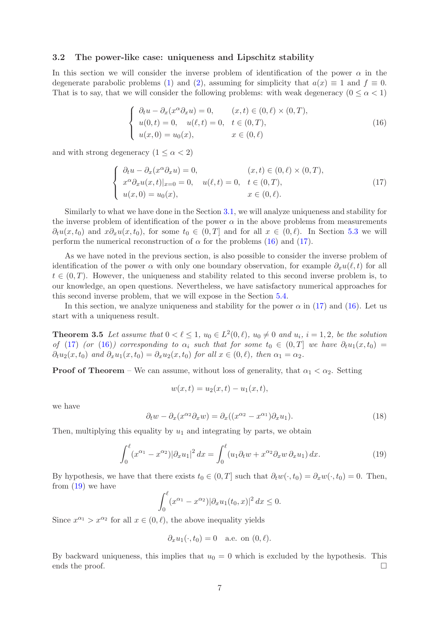# <span id="page-6-0"></span>3.2 The power-like case: uniqueness and Lipschitz stability

In this section we will consider the inverse problem of identification of the power  $\alpha$  in the degenerate parabolic problems [\(1\)](#page-0-0) and [\(2\)](#page-0-1), assuming for simplicity that  $a(x) \equiv 1$  and  $f \equiv 0$ . That is to say, that we will consider the following problems: with weak degeneracy  $(0 \le \alpha < 1)$ 

<span id="page-6-1"></span>
$$
\begin{cases}\n\partial_t u - \partial_x(x^{\alpha} \partial_x u) = 0, & (x, t) \in (0, \ell) \times (0, T), \\
u(0, t) = 0, & u(\ell, t) = 0, \quad t \in (0, T), \\
u(x, 0) = u_0(x), & x \in (0, \ell)\n\end{cases}
$$
\n(16)

and with strong degeneracy  $(1 \leq \alpha < 2)$ 

<span id="page-6-2"></span>
$$
\begin{cases}\n\partial_t u - \partial_x (x^{\alpha} \partial_x u) = 0, & (x, t) \in (0, \ell) \times (0, T), \\
x^{\alpha} \partial_x u(x, t)|_{x=0} = 0, & u(\ell, t) = 0, \quad t \in (0, T), \\
u(x, 0) = u_0(x), & x \in (0, \ell).\n\end{cases}
$$
\n(17)

Similarly to what we have done in the Section [3.1,](#page-4-0) we will analyze uniqueness and stability for the inverse problem of identification of the power  $\alpha$  in the above problems from measurements  $\partial_t u(x, t_0)$  and  $x \partial_x u(x, t_0)$ , for some  $t_0 \in (0, T]$  and for all  $x \in (0, \ell)$ . In Section [5.3](#page-30-0) we will perform the numerical reconstruction of  $\alpha$  for the problems [\(16\)](#page-6-1) and [\(17\)](#page-6-2).

As we have noted in the previous section, is also possible to consider the inverse problem of identification of the power  $\alpha$  with only one boundary observation, for example  $\partial_x u(\ell,t)$  for all  $t \in (0,T)$ . However, the uniqueness and stability related to this second inverse problem is, to our knowledge, an open questions. Nevertheless, we have satisfactory numerical approaches for this second inverse problem, that we will expose in the Section [5.4.](#page-32-0)

In this section, we analyze uniqueness and stability for the power  $\alpha$  in [\(17\)](#page-6-2) and [\(16\)](#page-6-1). Let us start with a uniqueness result.

**Theorem 3.5** Let assume that  $0 < \ell \leq 1$ ,  $u_0 \in L^2(0, \ell)$ ,  $u_0 \neq 0$  and  $u_i$ ,  $i = 1, 2$ , be the solution of [\(17\)](#page-6-2) (or [\(16\)](#page-6-1)) corresponding to  $\alpha_i$  such that for some  $t_0 \in (0,T]$  we have  $\partial_t u_1(x,t_0) =$  $\partial_t u_2(x, t_0)$  and  $\partial_x u_1(x, t_0) = \partial_x u_2(x, t_0)$  for all  $x \in (0, \ell)$ , then  $\alpha_1 = \alpha_2$ .

**Proof of Theorem** – We can assume, without loss of generality, that  $\alpha_1 < \alpha_2$ . Setting

$$
w(x,t) = u_2(x,t) - u_1(x,t),
$$

we have

<span id="page-6-4"></span>
$$
\partial_t w - \partial_x (x^{\alpha_2} \partial_x w) = \partial_x ((x^{\alpha_2} - x^{\alpha_1}) \partial_x u_1). \tag{18}
$$

Then, multiplying this equality by  $u_1$  and integrating by parts, we obtain

<span id="page-6-3"></span>
$$
\int_0^\ell (x^{\alpha_1} - x^{\alpha_2}) |\partial_x u_1|^2 dx = \int_0^\ell (u_1 \partial_t w + x^{\alpha_2} \partial_x w \partial_x u_1) dx.
$$
 (19)

By hypothesis, we have that there exists  $t_0 \in (0,T]$  such that  $\partial_t w(\cdot, t_0) = \partial_x w(\cdot, t_0) = 0$ . Then, from  $(19)$  we have

$$
\int_0^{\ell} (x^{\alpha_1} - x^{\alpha_2}) |\partial_x u_1(t_0, x)|^2 dx \le 0.
$$

Since  $x^{\alpha_1} > x^{\alpha_2}$  for all  $x \in (0, \ell)$ , the above inequality yields

$$
\partial_x u_1(\cdot,t_0) = 0 \quad \text{a.e. on } (0,\ell).
$$

By backward uniqueness, this implies that  $u_0 = 0$  which is excluded by the hypothesis. This ends the proof.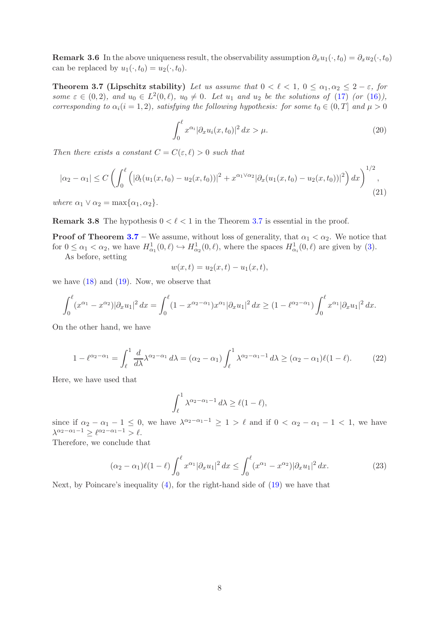**Remark 3.6** In the above uniqueness result, the observability assumption  $\partial_x u_1(\cdot, t_0) = \partial_x u_2(\cdot, t_0)$ can be replaced by  $u_1(\cdot, t_0) = u_2(\cdot, t_0)$ .

<span id="page-7-0"></span>Theorem 3.7 (Lipschitz stability) Let us assume that  $0 < \ell < 1$ ,  $0 \leq \alpha_1, \alpha_2 \leq 2 - \varepsilon$ , for some  $\varepsilon \in (0, 2)$ , and  $u_0 \in L^2(0, \ell)$ ,  $u_0 \neq 0$ . Let  $u_1$  and  $u_2$  be the solutions of [\(17\)](#page-6-2) (or [\(16\)](#page-6-1)), corresponding to  $\alpha_i(i = 1, 2)$ , satisfying the following hypothesis: for some  $t_0 \in (0, T]$  and  $\mu > 0$ 

<span id="page-7-2"></span>
$$
\int_0^\ell x^{\alpha_i} |\partial_x u_i(x, t_0)|^2 dx > \mu.
$$
 (20)

Then there exists a constant  $C = C(\varepsilon, \ell) > 0$  such that

$$
|\alpha_2 - \alpha_1| \le C \left( \int_0^\ell \left( |\partial_t (u_1(x, t_0) - u_2(x, t_0))|^2 + x^{\alpha_1 \vee \alpha_2} |\partial_x (u_1(x, t_0) - u_2(x, t_0))|^2 \right) dx \right)^{1/2},
$$
\n(21)

where  $\alpha_1 \vee \alpha_2 = \max{\alpha_1, \alpha_2}.$ 

**Remark 3.8** The hypothesis  $0 < \ell < 1$  in the Theorem [3.7](#page-7-0) is essential in the proof.

**Proof of Theorem [3.7](#page-7-0)** – We assume, without loss of generality, that  $\alpha_1 < \alpha_2$ . We notice that for  $0 \leq \alpha_1 < \alpha_2$ , we have  $H^1_{\alpha_1}(0,\ell) \hookrightarrow H^1_{\alpha_2}(0,\ell)$ , where the spaces  $H^1_{\alpha_i}(0,\ell)$  are given by [\(3\)](#page-2-4).

As before, setting

$$
w(x,t) = u_2(x,t) - u_1(x,t),
$$

we have  $(18)$  and  $(19)$ . Now, we observe that

$$
\int_0^{\ell} (x^{\alpha_1} - x^{\alpha_2}) |\partial_x u_1|^2 dx = \int_0^{\ell} (1 - x^{\alpha_2 - \alpha_1}) x^{\alpha_1} |\partial_x u_1|^2 dx \ge (1 - \ell^{\alpha_2 - \alpha_1}) \int_0^{\ell} x^{\alpha_1} |\partial_x u_1|^2 dx.
$$

On the other hand, we have

$$
1 - \ell^{\alpha_2 - \alpha_1} = \int_{\ell}^{1} \frac{d}{d\lambda} \lambda^{\alpha_2 - \alpha_1} d\lambda = (\alpha_2 - \alpha_1) \int_{\ell}^{1} \lambda^{\alpha_2 - \alpha_1 - 1} d\lambda \ge (\alpha_2 - \alpha_1) \ell (1 - \ell). \tag{22}
$$

Here, we have used that

$$
\int_{\ell}^{1} \lambda^{\alpha_2 - \alpha_1 - 1} d\lambda \ge \ell (1 - \ell),
$$

since if  $\alpha_2 - \alpha_1 - 1 \leq 0$ , we have  $\lambda^{\alpha_2 - \alpha_1 - 1} \geq 1 > \ell$  and if  $0 < \alpha_2 - \alpha_1 - 1 < 1$ , we have  $\lambda^{\alpha_2-\alpha_1-1} \geq \ell^{\alpha_2-\alpha_1-1} > \ell.$ 

Therefore, we conclude that

<span id="page-7-1"></span>
$$
(\alpha_2 - \alpha_1)\ell(1 - \ell) \int_0^{\ell} x^{\alpha_1} |\partial_x u_1|^2 dx \le \int_0^{\ell} (x^{\alpha_1} - x^{\alpha_2}) |\partial_x u_1|^2 dx.
$$
 (23)

Next, by Poincare's inequality [\(4\)](#page-2-3), for the right-hand side of [\(19\)](#page-6-3) we have that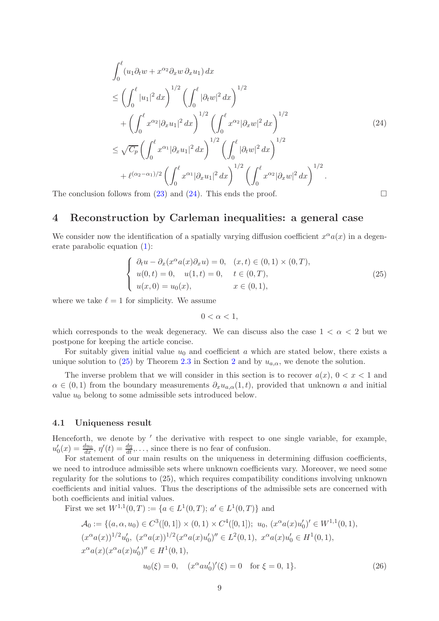<span id="page-8-1"></span>
$$
\int_{0}^{\ell} (u_{1} \partial_{t} w + x^{\alpha_{2}} \partial_{x} w \partial_{x} u_{1}) dx
$$
\n
$$
\leq \left( \int_{0}^{\ell} |u_{1}|^{2} dx \right)^{1/2} \left( \int_{0}^{\ell} |\partial_{t} w|^{2} dx \right)^{1/2} + \left( \int_{0}^{\ell} x^{\alpha_{2}} |\partial_{x} u_{1}|^{2} dx \right)^{1/2} \left( \int_{0}^{\ell} x^{\alpha_{2}} |\partial_{x} w|^{2} dx \right)^{1/2}
$$
\n
$$
\leq \sqrt{C_{p}} \left( \int_{0}^{\ell} x^{\alpha_{1}} |\partial_{x} u_{1}|^{2} dx \right)^{1/2} \left( \int_{0}^{\ell} |\partial_{t} w|^{2} dx \right)^{1/2} + \ell^{(\alpha_{2} - \alpha_{1})/2} \left( \int_{0}^{\ell} x^{\alpha_{1}} |\partial_{x} u_{1}|^{2} dx \right)^{1/2} \left( \int_{0}^{\ell} x^{\alpha_{2}} |\partial_{x} w|^{2} dx \right)^{1/2}.
$$
\n(24)

<span id="page-8-0"></span>The conclusion follows from [\(23\)](#page-7-1) and [\(24\)](#page-8-1). This ends the proof.  $\Box$ 

# 4 Reconstruction by Carleman inequalities: a general case

We consider now the identification of a spatially varying diffusion coefficient  $x^{\alpha}a(x)$  in a degenerate parabolic equation [\(1\)](#page-0-0):

<span id="page-8-2"></span>
$$
\begin{cases}\n\partial_t u - \partial_x(x^{\alpha} a(x) \partial_x u) = 0, & (x, t) \in (0, 1) \times (0, T), \\
u(0, t) = 0, & u(1, t) = 0, \quad t \in (0, T), \\
u(x, 0) = u_0(x), & x \in (0, 1),\n\end{cases}
$$
\n(25)

where we take  $\ell = 1$  for simplicity. We assume

 $0 < \alpha < 1$ ,

which corresponds to the weak degeneracy. We can discuss also the case  $1 < \alpha < 2$  but we postpone for keeping the article concise.

For suitably given initial value  $u_0$  and coefficient a which are stated below, there exists a unique solution to [\(25\)](#page-8-2) by Theorem [2.3](#page-3-4) in Section [2](#page-2-0) and by  $u_{a,\alpha}$ , we denote the solution.

The inverse problem that we will consider in this section is to recover  $a(x)$ ,  $0 < x < 1$  and  $\alpha \in (0,1)$  from the boundary measurements  $\partial_x u_{a,\alpha}(1,t)$ , provided that unknown a and initial value  $u_0$  belong to some admissible sets introduced below.

# 4.1 Uniqueness result

Henceforth, we denote by ′ the derivative with respect to one single variable, for example,  $u'_0(x) = \frac{du_0}{dx}, \eta'(t) = \frac{d\eta}{dt}, \dots$ , since there is no fear of confusion.

For statement of our main results on the uniqueness in determining diffusion coefficients, we need to introduce admissible sets where unknown coefficients vary. Moreover, we need some regularity for the solutions to (25), which requires compatibility conditions involving unknown coefficients and initial values. Thus the descriptions of the admissible sets are concerned with both coefficients and initial values.

First we set  $W^{1,1}(0,T) := \{a \in L^1(0,T); a' \in L^1(0,T)\}\$  and

<span id="page-8-3"></span>
$$
\mathcal{A}_0 := \{ (a, \alpha, u_0) \in C^3([0, 1]) \times (0, 1) \times C^4([0, 1]); \ u_0, \ (x^\alpha a(x)u'_0)^\prime \in W^{1,1}(0, 1), (x^\alpha a(x))^{1/2}u'_0, \ (x^\alpha a(x))^{1/2} (x^\alpha a(x)u'_0)^\prime \in L^2(0, 1), \ x^\alpha a(x)u'_0 \in H^1(0, 1), x^\alpha a(x)(x^\alpha a(x)u'_0)^\prime \in H^1(0, 1), u_0(\xi) = 0, \quad (x^\alpha a u'_0)^\prime(\xi) = 0 \quad \text{for } \xi = 0, 1 \}. \tag{26}
$$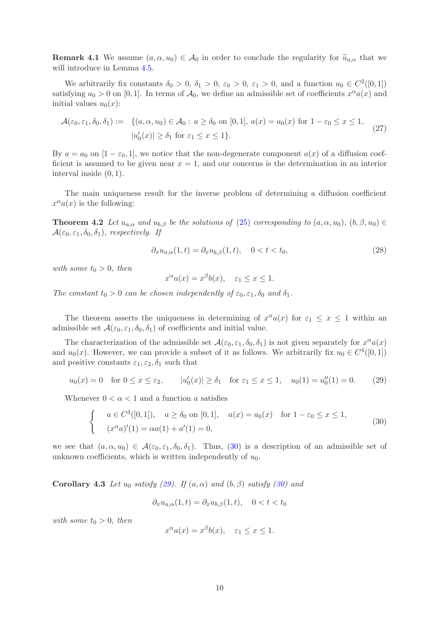**Remark 4.1** We assume  $(a, \alpha, u_0) \in A_0$  in order to conclude the regularity for  $\tilde{u}_{a,\alpha}$  that we will introduce in Lemma [4.5.](#page-11-0)

We arbitrarily fix constants  $\delta_0 > 0$ ,  $\delta_1 > 0$ ,  $\varepsilon_0 > 0$ ,  $\varepsilon_1 > 0$ , and a function  $a_0 \in C^2([0,1])$ satisfying  $a_0 > 0$  on [0, 1]. In terms of  $\mathcal{A}_0$ , we define an admissible set of coefficients  $x^{\alpha}a(x)$  and initial values  $u_0(x)$ :

<span id="page-9-4"></span>
$$
\mathcal{A}(\varepsilon_0, \varepsilon_1, \delta_0, \delta_1) := \{ (a, \alpha, u_0) \in \mathcal{A}_0 : a \ge \delta_0 \text{ on } [0, 1], a(x) = a_0(x) \text{ for } 1 - \varepsilon_0 \le x \le 1, \ |u'_0(x)| \ge \delta_1 \text{ for } \varepsilon_1 \le x \le 1 \}. \tag{27}
$$

By  $a = a_0$  on  $[1 - \varepsilon_0, 1]$ , we notice that the non-degenerate component  $a(x)$  of a diffusion coefficient is assumed to be given near  $x = 1$ , and our concerns is the determination in an interior interval inside (0, 1).

<span id="page-9-2"></span>The main uniqueness result for the inverse problem of determining a diffusion coefficient  $x^{\alpha}a(x)$  is the following:

**Theorem 4.2** Let  $u_{a,\alpha}$  and  $u_{b,\beta}$  be the solutions of [\(25\)](#page-8-2) corresponding to  $(a, \alpha, u_0)$ ,  $(b, \beta, u_0) \in$  $\mathcal{A}(\varepsilon_0, \varepsilon_1, \delta_0, \delta_1)$ , respectively. If

<span id="page-9-3"></span>
$$
\partial_x u_{a,\alpha}(1,t) = \partial_x u_{b,\beta}(1,t), \quad 0 < t < t_0,\tag{28}
$$

with some  $t_0 > 0$ , then

$$
x^{\alpha}a(x) = x^{\beta}b(x), \quad \varepsilon_1 \le x \le 1.
$$

The constant  $t_0 > 0$  can be chosen independently of  $\varepsilon_0, \varepsilon_1, \delta_0$  and  $\delta_1$ .

The theorem asserts the uniqueness in determining of  $x^{\alpha}a(x)$  for  $\varepsilon_1 \leq x \leq 1$  within an admissible set  $\mathcal{A}(\varepsilon_0, \varepsilon_1, \delta_0, \delta_1)$  of coefficients and initial value.

The characterization of the admissible set  $\mathcal{A}(\varepsilon_0, \varepsilon_1, \delta_0, \delta_1)$  is not given separately for  $x^{\alpha}a(x)$ and  $u_0(x)$ . However, we can provide a subset of it as follows. We arbitrarily fix  $u_0 \in C^4([0,1])$ and positive constants  $\varepsilon_1, \varepsilon_2, \delta_1$  such that

<span id="page-9-1"></span>
$$
u_0(x) = 0
$$
 for  $0 \le x \le \varepsilon_2$ ,  $|u'_0(x)| \ge \delta_1$  for  $\varepsilon_1 \le x \le 1$ ,  $u_0(1) = u''_0(1) = 0$ . (29)

Whenever  $0 < \alpha < 1$  and a function a satisfies

<span id="page-9-0"></span>
$$
\begin{cases}\n a \in C^{3}([0,1]), & a \ge \delta_0 \text{ on } [0,1], \quad a(x) = a_0(x) \quad \text{for } 1 - \varepsilon_0 \le x \le 1, \\
 (x^{\alpha}a)'(1) = \alpha a(1) + a'(1) = 0,\n\end{cases}
$$
\n(30)

we see that  $(a, \alpha, u_0) \in \mathcal{A}(\varepsilon_0, \varepsilon_1, \delta_0, \delta_1)$ . Thus, [\(30\)](#page-9-0) is a description of an admissible set of unknown coefficients, which is written independently of  $u_0$ .

Corollary 4.3 Let  $u_0$  satisfy [\(29\)](#page-9-1). If  $(a, \alpha)$  and  $(b, \beta)$  satisfy [\(30\)](#page-9-0) and

$$
\partial_x u_{a,\alpha}(1,t) = \partial_x u_{b,\beta}(1,t), \quad 0 < t < t_0
$$

with some  $t_0 > 0$ , then

$$
x^{\alpha}a(x) = x^{\beta}b(x), \quad \varepsilon_1 \le x \le 1.
$$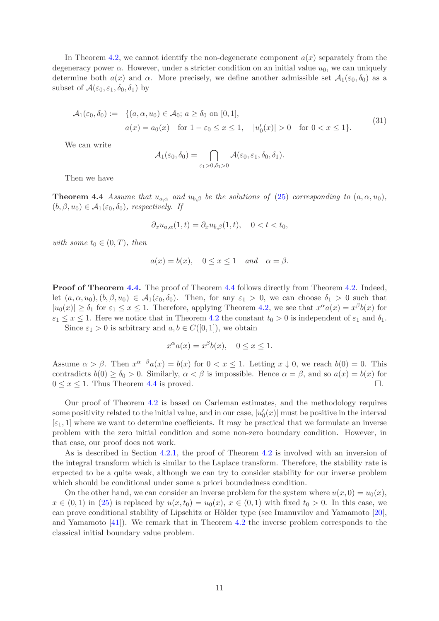In Theorem [4.2,](#page-9-2) we cannot identify the non-degenerate component  $a(x)$  separately from the degeneracy power  $\alpha$ . However, under a stricter condition on an initial value  $u_0$ , we can uniquely determine both  $a(x)$  and  $\alpha$ . More precisely, we define another admissible set  $\mathcal{A}_1(\varepsilon_0, \delta_0)$  as a subset of  $\mathcal{A}(\varepsilon_0, \varepsilon_1, \delta_0, \delta_1)$  by

$$
\mathcal{A}_1(\varepsilon_0, \delta_0) := \{ (a, \alpha, u_0) \in \mathcal{A}_0; a \ge \delta_0 \text{ on } [0, 1], a(x) = a_0(x) \text{ for } 1 - \varepsilon_0 \le x \le 1, \quad |u'_0(x)| > 0 \text{ for } 0 < x \le 1 \}. \tag{31}
$$

We can write

$$
\mathcal{A}_1(\varepsilon_0, \delta_0) = \bigcap_{\varepsilon_1 > 0, \delta_1 > 0} \mathcal{A}(\varepsilon_0, \varepsilon_1, \delta_0, \delta_1).
$$

<span id="page-10-0"></span>Then we have

**Theorem 4.4** Assume that  $u_{a,\alpha}$  and  $u_{b,\beta}$  be the solutions of [\(25\)](#page-8-2) corresponding to  $(a, \alpha, u_0)$ ,  $(b, \beta, u_0) \in \mathcal{A}_1(\varepsilon_0, \delta_0)$ , respectively. If

$$
\partial_x u_{a,\alpha}(1,t) = \partial_x u_{b,\beta}(1,t), \quad 0 < t < t_0,
$$

with some  $t_0 \in (0, T)$ , then

$$
a(x) = b(x), \quad 0 \le x \le 1 \quad and \quad \alpha = \beta
$$

Proof of Theorem [4.4.](#page-10-0) The proof of Theorem [4.4](#page-10-0) follows directly from Theorem [4.2.](#page-9-2) Indeed, let  $(a, \alpha, u_0), (b, \beta, u_0) \in \mathcal{A}_1(\varepsilon_0, \delta_0)$ . Then, for any  $\varepsilon_1 > 0$ , we can choose  $\delta_1 > 0$  such that  $|u_0(x)| \geq \delta_1$  for  $\varepsilon_1 \leq x \leq 1$ . Therefore, applying Theorem [4.2,](#page-9-2) we see that  $x^{\alpha}a(x) = x^{\beta}b(x)$  for  $\varepsilon_1 \leq x \leq 1$ . Here we notice that in Theorem [4.2](#page-9-2) the constant  $t_0 > 0$  is independent of  $\varepsilon_1$  and  $\delta_1$ .

Since  $\varepsilon_1 > 0$  is arbitrary and  $a, b \in C([0, 1])$ , we obtain

$$
x^{\alpha}a(x) = x^{\beta}b(x), \quad 0 \le x \le 1.
$$

Assume  $\alpha > \beta$ . Then  $x^{\alpha-\beta}a(x) = b(x)$  for  $0 < x \le 1$ . Letting  $x \downarrow 0$ , we reach  $b(0) = 0$ . This contradicts  $b(0) \ge \delta_0 > 0$ . Similarly,  $\alpha < \beta$  is impossible. Hence  $\alpha = \beta$ , and so  $a(x) = b(x)$  for  $0 \le x \le 1$ . Thus Theorem 4.4 is proved.  $0 \leq x \leq 1$ . Thus Theorem [4.4](#page-10-0) is proved.

Our proof of Theorem [4.2](#page-9-2) is based on Carleman estimates, and the methodology requires some positivity related to the initial value, and in our case,  $|u'_0(x)|$  must be positive in the interval  $[\epsilon_1, 1]$  where we want to determine coefficients. It may be practical that we formulate an inverse problem with the zero initial condition and some non-zero boundary condition. However, in that case, our proof does not work.

As is described in Section [4.2.1,](#page-11-1) the proof of Theorem [4.2](#page-9-2) is involved with an inversion of the integral transform which is similar to the Laplace transform. Therefore, the stability rate is expected to be a quite weak, although we can try to consider stability for our inverse problem which should be conditional under some a priori boundedness condition.

On the other hand, we can consider an inverse problem for the system where  $u(x, 0) = u_0(x)$ ,  $x \in (0,1)$  in [\(25\)](#page-8-2) is replaced by  $u(x,t_0) = u_0(x)$ ,  $x \in (0,1)$  with fixed  $t_0 > 0$ . In this case, we can prove conditional stability of Lipschitz or Hölder type (see Imanuvilov and Yamamoto [\[20\]](#page-37-10), and Yamamoto [\[41\]](#page-38-3)). We remark that in Theorem [4.2](#page-9-2) the inverse problem corresponds to the classical initial boundary value problem.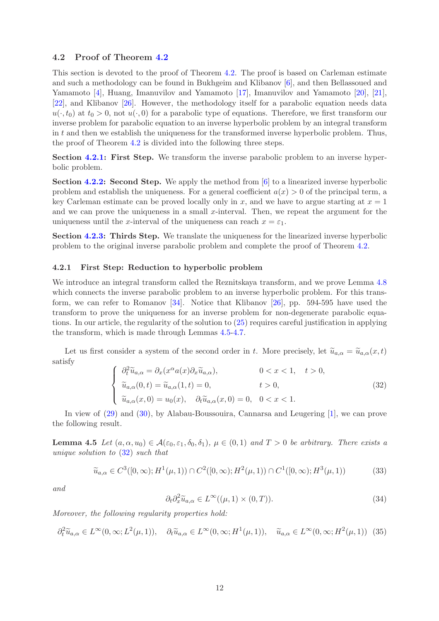# 4.2 Proof of Theorem [4.2](#page-9-2)

This section is devoted to the proof of Theorem [4.2.](#page-9-2) The proof is based on Carleman estimate and such a methodology can be found in Bukhgeim and Klibanov [\[6\]](#page-36-8), and then Bellassoued and Yamamoto [\[4\]](#page-36-9), Huang, Imanuvilov and Yamamoto [\[17\]](#page-37-11), Imanuvilov and Yamamoto [\[20\]](#page-37-10), [\[21\]](#page-37-12), [\[22\]](#page-37-13), and Klibanov [\[26\]](#page-37-14). However, the methodology itself for a parabolic equation needs data  $u(\cdot,t_0)$  at  $t_0 > 0$ , not  $u(\cdot,0)$  for a parabolic type of equations. Therefore, we first transform our inverse problem for parabolic equation to an inverse hyperbolic problem by an integral transform in  $t$  and then we establish the uniqueness for the transformed inverse hyperbolic problem. Thus, the proof of Theorem [4.2](#page-9-2) is divided into the following three steps.

Section [4.2.1:](#page-11-1) First Step. We transform the inverse parabolic problem to an inverse hyperbolic problem.

Section [4.2.2:](#page-15-0) Second Step. We apply the method from [\[6\]](#page-36-8) to a linearized inverse hyperbolic problem and establish the uniqueness. For a general coefficient  $a(x) > 0$  of the principal term, a key Carleman estimate can be proved locally only in x, and we have to argue starting at  $x = 1$ and we can prove the uniqueness in a small x-interval. Then, we repeat the argument for the uniqueness until the x-interval of the uniqueness can reach  $x = \varepsilon_1$ .

Section [4.2.3:](#page-25-1) Thirds Step. We translate the uniqueness for the linearized inverse hyperbolic problem to the original inverse parabolic problem and complete the proof of Theorem [4.2.](#page-9-2)

### <span id="page-11-1"></span>4.2.1 First Step: Reduction to hyperbolic problem

We introduce an integral transform called the Reznitskaya transform, and we prove Lemma [4.8](#page-15-1) which connects the inverse parabolic problem to an inverse hyperbolic problem. For this transform, we can refer to Romanov [\[34\]](#page-38-7). Notice that Klibanov [\[26\]](#page-37-14), pp. 594-595 have used the transform to prove the uniqueness for an inverse problem for non-degenerate parabolic equations. In our article, the regularity of the solution to [\(25\)](#page-8-2) requires careful justification in applying the transform, which is made through Lemmas [4.5](#page-11-0)[-4.7.](#page-13-0)

Let us first consider a system of the second order in t. More precisely, let  $\tilde{u}_{a,\alpha} = \tilde{u}_{a,\alpha}(x,t)$ satisfy

<span id="page-11-2"></span>
$$
\begin{cases}\n\partial_t^2 \widetilde{u}_{a,\alpha} = \partial_x(x^{\alpha} a(x) \partial_x \widetilde{u}_{a,\alpha}), & 0 < x < 1, \quad t > 0, \\
\widetilde{u}_{a,\alpha}(0,t) = \widetilde{u}_{a,\alpha}(1,t) = 0, & t > 0, \\
\widetilde{u}_{a,\alpha}(x,0) = u_0(x), & \partial_t \widetilde{u}_{a,\alpha}(x,0) = 0, \quad 0 < x < 1.\n\end{cases}
$$
\n(32)

<span id="page-11-0"></span>In view of [\(29\)](#page-9-1) and [\(30\)](#page-9-0), by Alabau-Boussouira, Cannarsa and Leugering [\[1\]](#page-36-10), we can prove the following result.

**Lemma 4.5** Let  $(a, \alpha, u_0) \in \mathcal{A}(\varepsilon_0, \varepsilon_1, \delta_0, \delta_1), \mu \in (0, 1)$  and  $T > 0$  be arbitrary. There exists a unique solution to [\(32\)](#page-11-2) such that

<span id="page-11-4"></span>
$$
\widetilde{u}_{a,\alpha} \in C^3([0,\infty); H^1(\mu,1)) \cap C^2([0,\infty); H^2(\mu,1)) \cap C^1([0,\infty); H^3(\mu,1))
$$
\n(33)

and

$$
\partial_t \partial_x^2 \widetilde{u}_{a,\alpha} \in L^\infty((\mu, 1) \times (0, T)). \tag{34}
$$

Moreover, the following regularity properties hold:

<span id="page-11-3"></span>
$$
\partial_t^2 \widetilde{u}_{a,\alpha} \in L^\infty(0,\infty; L^2(\mu,1)), \quad \partial_t \widetilde{u}_{a,\alpha} \in L^\infty(0,\infty; H^1(\mu,1)), \quad \widetilde{u}_{a,\alpha} \in L^\infty(0,\infty; H^2(\mu,1)) \tag{35}
$$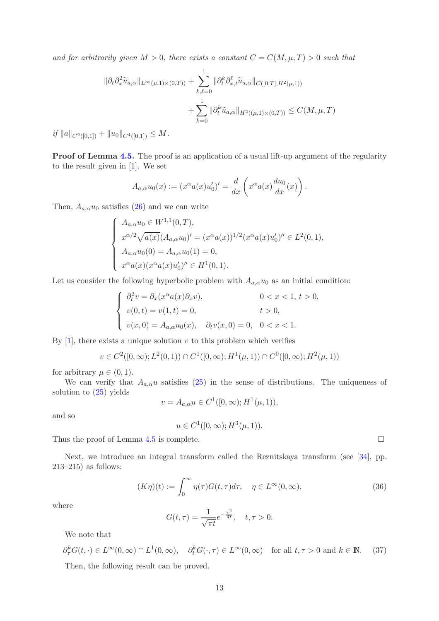and for arbitrarily given  $M > 0$ , there exists a constant  $C = C(M, \mu, T) > 0$  such that

$$
\|\partial_t \partial_x^2 \widetilde{u}_{a,\alpha}\|_{L^{\infty}(\mu,1)\times(0,T)} + \sum_{k,\ell=0}^1 \|\partial_t^k \partial_{x,t}^\ell \widetilde{u}_{a,\alpha}\|_{C([0,T];H^2(\mu,1))}
$$
  
+ 
$$
\sum_{k=0}^1 \|\partial_t^k \widetilde{u}_{a,\alpha}\|_{H^2((\mu,1)\times(0,T))} \leq C(M,\mu,T)
$$

if  $||a||_{C^2([0,1])} + ||u_0||_{C^4([0,1])} \leq M$ .

Proof of Lemma [4.5.](#page-11-0) The proof is an application of a usual lift-up argument of the regularity to the result given in [\[1\]](#page-36-10). We set

$$
A_{a,\alpha}u_0(x) := (x^{\alpha}a(x)u'_0)' = \frac{d}{dx}\left(x^{\alpha}a(x)\frac{du_0}{dx}(x)\right).
$$

Then,  $A_{a,\alpha}u_0$  satisfies [\(26\)](#page-8-3) and we can write

$$
\begin{cases}\nA_{a,\alpha}u_0 \in W^{1,1}(0,T), \\
x^{\alpha/2}\sqrt{a(x)}(A_{a,\alpha}u_0)' = (x^{\alpha}a(x))^{1/2}(x^{\alpha}a(x)u'_0)'' \in L^2(0,1), \\
A_{a,\alpha}u_0(0) = A_{a,\alpha}u_0(1) = 0, \\
x^{\alpha}a(x)(x^{\alpha}a(x)u'_0)'' \in H^1(0,1).\n\end{cases}
$$

Let us consider the following hyperbolic problem with  $A_{a,\alpha}u_0$  as an initial condition:

$$
\begin{cases}\n\partial_t^2 v = \partial_x(x^\alpha a(x)\partial_x v), & 0 < x < 1, \ t > 0, \\
v(0, t) = v(1, t) = 0, & t > 0, \\
v(x, 0) = A_{a,\alpha}u_0(x), & \partial_t v(x, 0) = 0, \quad 0 < x < 1.\n\end{cases}
$$

By  $[1]$ , there exists a unique solution v to this problem which verifies

$$
v \in C^2([0,\infty); L^2(0,1)) \cap C^1([0,\infty); H^1(\mu,1)) \cap C^0([0,\infty); H^2(\mu,1))
$$

for arbitrary  $\mu \in (0,1)$ .

We can verify that  $A_{a,\alpha}u$  satisfies [\(25\)](#page-8-2) in the sense of distributions. The uniqueness of solution to [\(25\)](#page-8-2) yields

$$
v = A_{a,\alpha}u \in C^1([0,\infty);H^1(\mu,1)),
$$

and so

$$
u \in C^1([0,\infty);H^3(\mu,1)).
$$

Thus the proof of Lemma [4.5](#page-11-0) is complete.  $\Box$ 

Next, we introduce an integral transform called the Reznitskaya transform (see [\[34\]](#page-38-7), pp. 213–215) as follows:

<span id="page-12-2"></span>
$$
(K\eta)(t) := \int_0^\infty \eta(\tau)G(t,\tau)d\tau, \quad \eta \in L^\infty(0,\infty),\tag{36}
$$

where

<span id="page-12-0"></span>
$$
G(t,\tau) = \frac{1}{\sqrt{\pi t}} e^{-\frac{\tau^2}{4t}}, \quad t, \tau > 0.
$$

We note that

<span id="page-12-1"></span> $\partial_{\tau}^{k}G(t,\cdot)\in L^{\infty}(0,\infty)\cap L^{1}(0,\infty),\quad \partial_{t}^{k}G(\cdot,\tau)\in L^{\infty}(0,\infty)\quad\text{for all }t,\tau>0\text{ and }k\in\mathbb{N}.\tag{37}$ Then, the following result can be proved.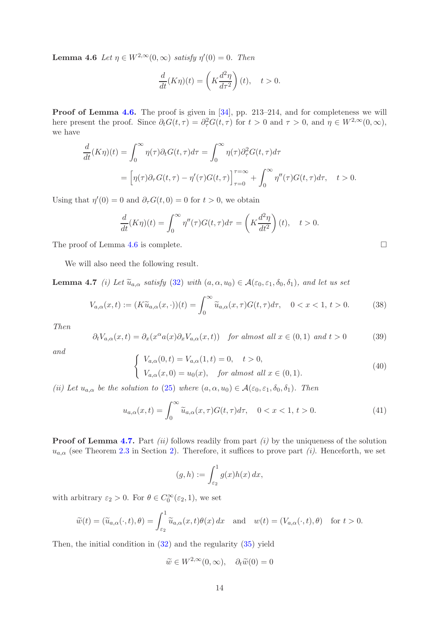**Lemma 4.6** Let  $\eta \in W^{2,\infty}(0,\infty)$  satisfy  $\eta'(0) = 0$ . Then

$$
\frac{d}{dt}(K\eta)(t) = \left(K\frac{d^2\eta}{d\tau^2}\right)(t), \quad t > 0.
$$

Proof of Lemma [4.6.](#page-12-0) The proof is given in [\[34\]](#page-38-7), pp. 213–214, and for completeness we will here present the proof. Since  $\partial_t G(t, \tau) = \partial_{\tau}^2 G(t, \tau)$  for  $t > 0$  and  $\tau > 0$ , and  $\eta \in W^{2,\infty}(0, \infty)$ , we have

$$
\frac{d}{dt}(K\eta)(t) = \int_0^\infty \eta(\tau)\partial_t G(t,\tau)d\tau = \int_0^\infty \eta(\tau)\partial_\tau^2 G(t,\tau)d\tau
$$

$$
= \left[\eta(\tau)\partial_\tau G(t,\tau) - \eta'(\tau)G(t,\tau)\right]_{\tau=0}^{\tau=\infty} + \int_0^\infty \eta''(\tau)G(t,\tau)d\tau, \quad t > 0.
$$

Using that  $\eta'(0) = 0$  and  $\partial_{\tau} G(t, 0) = 0$  for  $t > 0$ , we obtain

<span id="page-13-0"></span>
$$
\frac{d}{dt}(K\eta)(t) = \int_0^\infty \eta''(\tau)G(t,\tau)d\tau = \left(K\frac{d^2\eta}{dt^2}\right)(t), \quad t > 0.
$$

The proof of Lemma [4.6](#page-12-0) is complete.  $\Box$ 

We will also need the following result.

**Lemma 4.7** (i) Let  $\widetilde{u}_{a,\alpha}$  satisfy [\(32\)](#page-11-2) with  $(a, \alpha, u_0) \in \mathcal{A}(\varepsilon_0, \varepsilon_1, \delta_0, \delta_1)$ , and let us set

<span id="page-13-1"></span>
$$
V_{a,\alpha}(x,t) := (K\widetilde{u}_{a,\alpha}(x,\cdot))(t) = \int_0^\infty \widetilde{u}_{a,\alpha}(x,\tau)G(t,\tau)d\tau, \quad 0 < x < 1, \ t > 0. \tag{38}
$$

Then

<span id="page-13-2"></span>
$$
\partial_t V_{a,\alpha}(x,t) = \partial_x(x^{\alpha} a(x) \partial_x V_{a,\alpha}(x,t)) \quad \text{for almost all } x \in (0,1) \text{ and } t > 0 \tag{39}
$$

and

<span id="page-13-3"></span>
$$
\begin{cases}\nV_{a,\alpha}(0,t) = V_{a,\alpha}(1,t) = 0, \quad t > 0, \\
V_{a,\alpha}(x,0) = u_0(x), \quad \text{for almost all } x \in (0,1).\n\end{cases}
$$
\n(40)

(ii) Let  $u_{a,\alpha}$  be the solution to [\(25\)](#page-8-2) where  $(a, \alpha, u_0) \in \mathcal{A}(\varepsilon_0, \varepsilon_1, \delta_0, \delta_1)$ . Then

<span id="page-13-4"></span>
$$
u_{a,\alpha}(x,t) = \int_0^\infty \widetilde{u}_{a,\alpha}(x,\tau)G(t,\tau)d\tau, \quad 0 < x < 1, \ t > 0. \tag{41}
$$

**Proof of Lemma [4.7.](#page-13-0)** Part *(ii)* follows readily from part *(i)* by the uniqueness of the solution  $u_{a,\alpha}$  (see Theorem [2.3](#page-3-4) in Section [2\)](#page-2-0). Therefore, it suffices to prove part (i). Henceforth, we set

$$
(g,h) := \int_{\varepsilon_2}^1 g(x)h(x) \, dx,
$$

with arbitrary  $\varepsilon_2 > 0$ . For  $\theta \in C_0^{\infty}(\varepsilon_2, 1)$ , we set

$$
\widetilde{w}(t) = (\widetilde{u}_{a,\alpha}(\cdot,t),\theta) = \int_{\varepsilon_2}^1 \widetilde{u}_{a,\alpha}(x,t)\theta(x) dx \text{ and } w(t) = (V_{a,\alpha}(\cdot,t),\theta) \text{ for } t > 0.
$$

Then, the initial condition in [\(32\)](#page-11-2) and the regularity [\(35\)](#page-11-3) yield

$$
\widetilde{w} \in W^{2,\infty}(0,\infty), \quad \partial_t \widetilde{w}(0) = 0
$$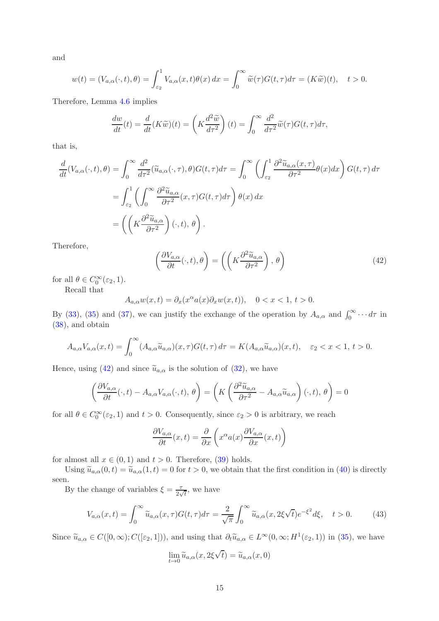and

$$
w(t) = (V_{a,\alpha}(\cdot,t),\theta) = \int_{\varepsilon_2}^1 V_{a,\alpha}(x,t)\theta(x) dx = \int_0^\infty \widetilde{w}(\tau)G(t,\tau)d\tau = (K\widetilde{w})(t), \quad t > 0.
$$

Therefore, Lemma [4.6](#page-12-0) implies

$$
\frac{dw}{dt}(t) = \frac{d}{dt}(K\widetilde{w})(t) = \left(K\frac{d^2\widetilde{w}}{d\tau^2}\right)(t) = \int_0^\infty \frac{d^2}{d\tau^2}\widetilde{w}(\tau)G(t,\tau)d\tau,
$$

that is,

$$
\frac{d}{dt}(V_{a,\alpha}(\cdot,t),\theta) = \int_0^\infty \frac{d^2}{d\tau^2}(\widetilde{u}_{a,\alpha}(\cdot,\tau),\theta)G(t,\tau)d\tau = \int_0^\infty \left(\int_{\varepsilon_2}^1 \frac{\partial^2 \widetilde{u}_{a,\alpha}(x,\tau)}{\partial \tau^2} \theta(x)dx\right)G(t,\tau)d\tau
$$
\n
$$
= \int_{\varepsilon_2}^1 \left(\int_0^\infty \frac{\partial^2 \widetilde{u}_{a,\alpha}}{\partial \tau^2}(x,\tau)G(t,\tau)d\tau\right) \theta(x) dx
$$
\n
$$
= \left(\left(K\frac{\partial^2 \widetilde{u}_{a,\alpha}}{\partial \tau^2}\right)(\cdot,t),\theta\right).
$$

Therefore,

<span id="page-14-0"></span>
$$
\left(\frac{\partial V_{a,\alpha}}{\partial t}(\cdot,t),\theta\right) = \left(\left(K\frac{\partial^2 \widetilde{u}_{a,\alpha}}{\partial \tau^2}\right),\theta\right)
$$
\n(42)

for all  $\theta \in C_0^{\infty}(\varepsilon_2, 1)$ .

Recall that

$$
A_{a,\alpha}w(x,t) = \partial_x(x^{\alpha}a(x)\partial_xw(x,t)), \quad 0 < x < 1, \, t > 0.
$$

By [\(33\)](#page-11-4), [\(35\)](#page-11-3) and [\(37\)](#page-12-1), we can justify the exchange of the operation by  $A_{a,\alpha}$  and  $\int_0^\infty \cdots d\tau$  in [\(38\)](#page-13-1), and obtain

$$
A_{a,\alpha}V_{a,\alpha}(x,t) = \int_0^\infty (A_{a,\alpha}\widetilde{u}_{a,\alpha})(x,\tau)G(t,\tau)d\tau = K(A_{a,\alpha}\widetilde{u}_{a,\alpha})(x,t), \quad \varepsilon_2 < x < 1, \ t > 0.
$$

Hence, using [\(42\)](#page-14-0) and since  $\tilde{u}_{a,\alpha}$  is the solution of [\(32\)](#page-11-2), we have

$$
\left(\frac{\partial V_{a,\alpha}}{\partial t}(\cdot,t) - A_{a,\alpha} V_{a,\alpha}(\cdot,t),\theta\right) = \left(K\left(\frac{\partial^2 \widetilde{u}_{a,\alpha}}{\partial \tau^2} - A_{a,\alpha} \widetilde{u}_{a,\alpha}\right)(\cdot,t),\theta\right) = 0
$$

for all  $\theta \in C_0^{\infty}(\varepsilon_2, 1)$  and  $t > 0$ . Consequently, since  $\varepsilon_2 > 0$  is arbitrary, we reach

$$
\frac{\partial V_{a,\alpha}}{\partial t}(x,t) = \frac{\partial}{\partial x}\left(x^{\alpha}a(x)\frac{\partial V_{a,\alpha}}{\partial x}(x,t)\right)
$$

for almost all  $x \in (0,1)$  and  $t > 0$ . Therefore, [\(39\)](#page-13-2) holds.

Using  $\widetilde{u}_{a,\alpha}(0,t) = \widetilde{u}_{a,\alpha}(1,t) = 0$  for  $t > 0$ , we obtain that the first condition in [\(40\)](#page-13-3) is directly seen.

By the change of variables  $\xi = \frac{7}{3}$  $\frac{\tau}{2\sqrt{t}}$ , we have

<span id="page-14-1"></span>
$$
V_{a,\alpha}(x,t) = \int_0^\infty \widetilde{u}_{a,\alpha}(x,\tau)G(t,\tau)d\tau = \frac{2}{\sqrt{\pi}} \int_0^\infty \widetilde{u}_{a,\alpha}(x,2\xi\sqrt{t})e^{-\xi^2}d\xi, \quad t > 0. \tag{43}
$$

Since  $\widetilde{u}_{a,\alpha} \in C([0,\infty); C([\varepsilon_2,1]))$ , and using that  $\partial_t \widetilde{u}_{a,\alpha} \in L^{\infty}(0,\infty; H^1(\varepsilon_2,1))$  in [\(35\)](#page-11-3), we have

$$
\lim_{t \to 0} \widetilde{u}_{a,\alpha}(x, 2\xi\sqrt{t}) = \widetilde{u}_{a,\alpha}(x, 0)
$$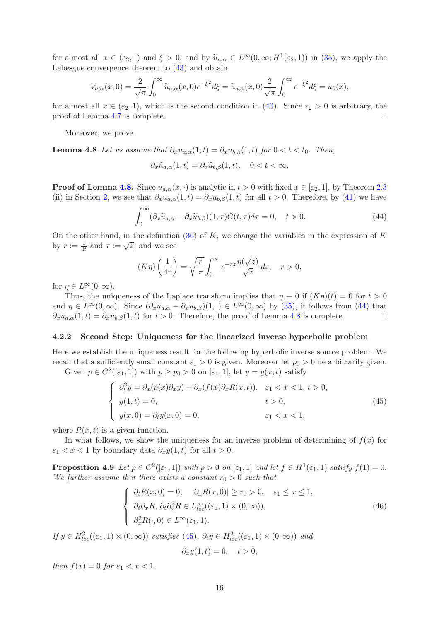for almost all  $x \in (\varepsilon_2, 1)$  and  $\xi > 0$ , and by  $\widetilde{u}_{a,\alpha} \in L^{\infty}(0, \infty; H^1(\varepsilon_2, 1))$  in [\(35\)](#page-11-3), we apply the Lebesgue convergence theorem to [\(43\)](#page-14-1) and obtain

$$
V_{a,\alpha}(x,0) = \frac{2}{\sqrt{\pi}} \int_0^\infty \widetilde{u}_{a,\alpha}(x,0) e^{-\xi^2} d\xi = \widetilde{u}_{a,\alpha}(x,0) \frac{2}{\sqrt{\pi}} \int_0^\infty e^{-\xi^2} d\xi = u_0(x),
$$

for almost all  $x \in (\varepsilon_2, 1)$ , which is the second condition in [\(40\)](#page-13-3). Since  $\varepsilon_2 > 0$  is arbitrary, the proof of Lemma 4.7 is complete. proof of Lemma [4.7](#page-13-0) is complete.

Moreover, we prove

**Lemma 4.8** Let us assume that  $\partial_x u_{a,\alpha}(1,t) = \partial_x u_{b,\beta}(1,t)$  for  $0 < t < t_0$ . Then,

<span id="page-15-1"></span>
$$
\partial_x \widetilde{u}_{a,\alpha}(1,t) = \partial_x \widetilde{u}_{b,\beta}(1,t), \quad 0 < t < \infty.
$$

**Proof of Lemma [4.8.](#page-15-1)** Since  $u_{a,\alpha}(x, \cdot)$  is analytic in  $t > 0$  with fixed  $x \in [\varepsilon_2, 1]$ , by Theorem [2.3](#page-3-4) (ii) in Section [2,](#page-2-0) we see that  $\partial_x u_{a,\alpha}(1,t) = \partial_x u_{b,\beta}(1,t)$  for all  $t > 0$ . Therefore, by [\(41\)](#page-13-4) we have

<span id="page-15-2"></span>
$$
\int_0^\infty (\partial_x \widetilde{u}_{a,\alpha} - \partial_x \widetilde{u}_{b,\beta})(1,\tau)G(t,\tau)d\tau = 0, \quad t > 0.
$$
 (44)

On the other hand, in the definition  $(36)$  of K, we change the variables in the expression of K by  $r := \frac{1}{4t}$  and  $\tau := \sqrt{z}$ , and we see

$$
(K\eta)\left(\frac{1}{4r}\right) = \sqrt{\frac{r}{\pi}} \int_0^\infty e^{-rz} \frac{\eta(\sqrt{z})}{\sqrt{z}} dz, \quad r > 0,
$$

for  $\eta \in L^{\infty}(0, \infty)$ .

Thus, the uniqueness of the Laplace transform implies that  $\eta \equiv 0$  if  $(K\eta)(t) = 0$  for  $t > 0$ and  $\eta \in L^{\infty}(0,\infty)$ . Since  $(\partial_x \tilde{u}_{a,\alpha} - \partial_x \tilde{u}_{b,\beta})(1,\cdot) \in L^{\infty}(0,\infty)$  by [\(35\)](#page-11-3), it follows from [\(44\)](#page-15-2) that  $\partial_x \tilde{u}_{a,\alpha}(1,t) = \partial_x \tilde{u}_{b,\beta}(1,t)$  for  $t > 0$ . Therefore, the proof of Lemma 4.8 is complete.  $\partial_x \tilde{u}_{a,\alpha}(1,t) = \partial_x \tilde{u}_{b,\beta}(1,t)$  for  $t > 0$ . Therefore, the proof of Lemma [4.8](#page-15-1) is complete.

#### <span id="page-15-0"></span>4.2.2 Second Step: Uniqueness for the linearized inverse hyperbolic problem

Here we establish the uniqueness result for the following hyperbolic inverse source problem. We recall that a sufficiently small constant  $\varepsilon_1 > 0$  is given. Moreover let  $p_0 > 0$  be arbitrarily given. Given  $p \in C^2([\varepsilon_1, 1])$  with  $p \ge p_0 > 0$  on  $[\varepsilon_1, 1]$ , let  $y = y(x, t)$  satisfy

<span id="page-15-3"></span>
$$
\begin{cases}\n\partial_t^2 y = \partial_x (p(x)\partial_x y) + \partial_x (f(x)\partial_x R(x,t)), & \varepsilon_1 < x < 1, t > 0, \\
y(1,t) = 0, & t > 0, \\
y(x,0) = \partial_t y(x,0) = 0, & \varepsilon_1 < x < 1,\n\end{cases}
$$
\n(45)

where  $R(x, t)$  is a given function.

<span id="page-15-4"></span>In what follows, we show the uniqueness for an inverse problem of determining of  $f(x)$  for  $\varepsilon_1 < x < 1$  by boundary data  $\partial_x y(1,t)$  for all  $t > 0$ .

**Proposition 4.9** Let  $p \in C^2([\varepsilon_1, 1])$  with  $p > 0$  on  $[\varepsilon_1, 1]$  and let  $f \in H^1(\varepsilon_1, 1)$  satisfy  $f(1) = 0$ . We further assume that there exists a constant  $r_0 > 0$  such that

<span id="page-15-5"></span>
$$
\begin{cases}\n\partial_t R(x,0) = 0, & |\partial_x R(x,0)| \ge r_0 > 0, \quad \varepsilon_1 \le x \le 1, \\
\partial_t \partial_x R, & \partial_t \partial_x^2 R \in L_{loc}^{\infty}((\varepsilon_1, 1) \times (0, \infty)), \\
\partial_x^2 R(\cdot, 0) \in L^{\infty}(\varepsilon_1, 1).\n\end{cases} (46)
$$

If  $y \in H_{loc}^2((\varepsilon_1, 1) \times (0, \infty))$  satisfies [\(45\)](#page-15-3),  $\partial_t y \in H_{loc}^2((\varepsilon_1, 1) \times (0, \infty))$  and

$$
\partial_x y(1,t) = 0, \quad t > 0,
$$

then  $f(x) = 0$  for  $\varepsilon_1 < x < 1$ .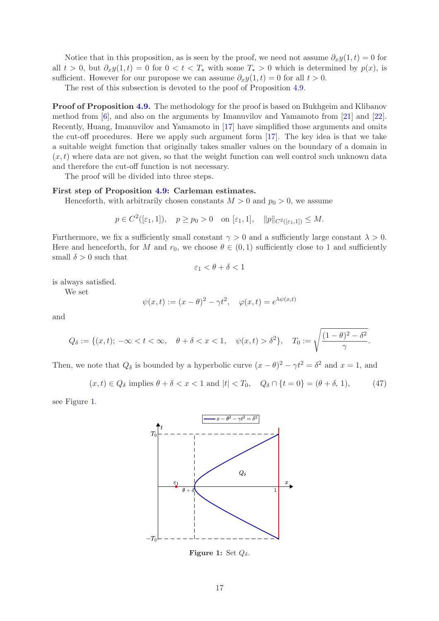Notice that in this proposition, as is seen by the proof, we need not assume  $\partial_x y(1,t) = 0$  for all  $t > 0$ , but  $\partial_x y(1, t) = 0$  for  $0 < t < T_*$  with some  $T_* > 0$  which is determined by  $p(x)$ , is sufficient. However for our puropose we can assume  $\partial_x y(1,t) = 0$  for all  $t > 0$ .

The rest of this subsection is devoted to the poof of Proposition [4.9.](#page-15-4)

Proof of Proposition [4.9.](#page-15-4) The methodology for the proof is based on Bukhgeim and Klibanov method from [\[6\]](#page-36-8), and also on the arguments by Imanuvilov and Yamamoto from [\[21\]](#page-37-12) and [\[22\]](#page-37-13). Recently, Huang, Imanuvilov and Yamamoto in [\[17\]](#page-37-11) have simplified those arguments and omits the cut-off procedures. Here we apply such argument form [\[17\]](#page-37-11). The key idea is that we take a suitable weight function that originally takes smaller values on the boundary of a domain in  $(x, t)$  where data are not given, so that the weight function can well control such unknown data and therefore the cut-off function is not necessary.

The proof will be divided into three steps.

### First step of Proposition [4.9:](#page-15-4) Carleman estimates.

Henceforth, with arbitrarily chosen constants  $M > 0$  and  $p_0 > 0$ , we assume

$$
p \in C^2([\varepsilon_1, 1]), \quad p \ge p_0 > 0 \quad \text{on } [\varepsilon_1, 1], \quad ||p||_{C^2([\varepsilon_1, 1])} \le M.
$$

Furthermore, we fix a sufficiently small constant  $\gamma > 0$  and a sufficiently large constant  $\lambda > 0$ . Here and henceforth, for M and  $r_0$ , we choose  $\theta \in (0,1)$  sufficiently close to 1 and sufficiently small  $\delta > 0$  such that

$$
\varepsilon_1 < \theta + \delta < 1
$$

is always satisfied.

We set

$$
\psi(x,t) := (x - \theta)^2 - \gamma t^2, \quad \varphi(x,t) = e^{\lambda \psi(x,t)}
$$

and

$$
Q_{\delta} := \{(x, t); -\infty < t < \infty, \quad \theta + \delta < x < 1, \quad \psi(x, t) > \delta^2\}, \quad T_0 := \sqrt{\frac{(1 - \theta)^2 - \delta^2}{\gamma}}.
$$

Then, we note that  $Q_{\delta}$  is bounded by a hyperbolic curve  $(x - \theta)^2 - \gamma t^2 = \delta^2$  and  $x = 1$ , and

<span id="page-16-1"></span>
$$
(x,t) \in Q_{\delta}
$$
 implies  $\theta + \delta < x < 1$  and  $|t| < T_0$ ,  $Q_{\delta} \cap \{t = 0\} = (\theta + \delta, 1)$ , (47)

<span id="page-16-0"></span>see Figure [1.](#page-16-0)



Figure 1: Set  $Q_{\delta}$ .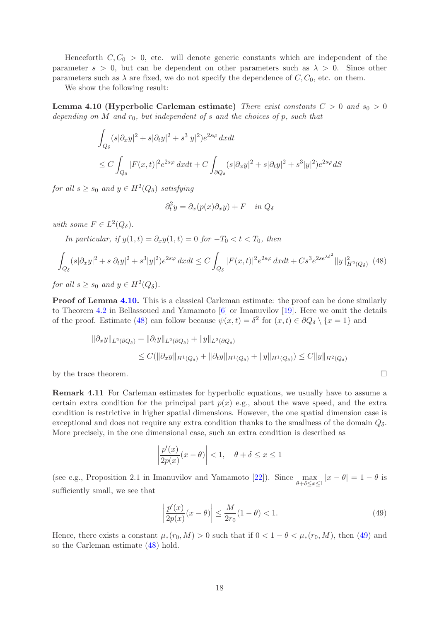Henceforth  $C, C_0 > 0$ , etc. will denote generic constants which are independent of the parameter  $s > 0$ , but can be dependent on other parameters such as  $\lambda > 0$ . Since other parameters such as  $\lambda$  are fixed, we do not specify the dependence of C,  $C_0$ , etc. on them.

<span id="page-17-0"></span>We show the following result:

**Lemma 4.10 (Hyperbolic Carleman estimate)** There exist constants  $C > 0$  and  $s_0 > 0$ depending on M and  $r_0$ , but independent of s and the choices of p, such that

$$
\int_{Q_{\delta}} (s|\partial_x y|^2 + s|\partial_t y|^2 + s^3|y|^2)e^{2s\varphi} dxdt
$$
\n
$$
\leq C \int_{Q_{\delta}} |F(x,t)|^2 e^{2s\varphi} dxdt + C \int_{\partial Q_{\delta}} (s|\partial_x y|^2 + s|\partial_t y|^2 + s^3|y|^2)e^{2s\varphi} dS
$$

for all  $s \geq s_0$  and  $y \in H^2(Q_\delta)$  satisfying

$$
\partial_t^2 y = \partial_x (p(x)\partial_x y) + F \quad in \ Q_\delta
$$

with some  $F \in L^2(Q_\delta)$ .

In particular, if  $y(1,t) = \partial_x y(1,t) = 0$  for  $-T_0 < t < T_0$ , then

<span id="page-17-1"></span>
$$
\int_{Q_{\delta}} (s|\partial_x y|^2 + s|\partial_t y|^2 + s^3|y|^2)e^{2s\varphi} dx dt \le C \int_{Q_{\delta}} |F(x,t)|^2 e^{2s\varphi} dx dt + Cs^3 e^{2se^{\lambda\delta^2}} \|y\|_{H^2(Q_{\delta})}^2 \tag{48}
$$

for all  $s \geq s_0$  and  $y \in H^2(Q_\delta)$ .

Proof of Lemma [4.10.](#page-17-0) This is a classical Carleman estimate: the proof can be done similarly to Theorem [4.2](#page-9-2) in Bellassoued and Yamamoto [\[6\]](#page-36-8) or Imanuvilov [\[19\]](#page-37-15). Here we omit the details of the proof. Estimate [\(48\)](#page-17-1) can follow because  $\psi(x,t) = \delta^2$  for  $(x,t) \in \partial Q_{\delta} \setminus \{x = 1\}$  and

$$
\|\partial_x y\|_{L^2(\partial Q_\delta)} + \|\partial_t y\|_{L^2(\partial Q_\delta)} + \|y\|_{L^2(\partial Q_\delta)}
$$
  
\n
$$
\leq C(\|\partial_x y\|_{H^1(Q_\delta)} + \|\partial_t y\|_{H^1(Q_\delta)} + \|y\|_{H^1(Q_\delta)}) \leq C\|y\|_{H^2(Q_\delta)}
$$

<span id="page-17-3"></span>by the trace theorem.  $\Box$ 

Remark 4.11 For Carleman estimates for hyperbolic equations, we usually have to assume a certain extra condition for the principal part  $p(x)$  e.g., about the wave speed, and the extra condition is restrictive in higher spatial dimensions. However, the one spatial dimension case is exceptional and does not require any extra condition thanks to the smallness of the domain  $Q_{\delta}$ . More precisely, in the one dimensional case, such an extra condition is described as

$$
\left|\frac{p'(x)}{2p(x)}(x-\theta)\right| < 1, \quad \theta + \delta \le x \le 1
$$

(see e.g., Proposition 2.1 in Imanuvilov and Yamamoto  $[22]$ ). Since max  $\max_{\theta+\delta\leq x\leq 1}|x-\theta|=1-\theta$  is sufficiently small, we see that

<span id="page-17-2"></span>
$$
\left| \frac{p'(x)}{2p(x)} (x - \theta) \right| \le \frac{M}{2r_0} (1 - \theta) < 1. \tag{49}
$$

Hence, there exists a constant  $\mu_*(r_0, M) > 0$  such that if  $0 < 1 - \theta < \mu_*(r_0, M)$ , then [\(49\)](#page-17-2) and so the Carleman estimate [\(48\)](#page-17-1) hold.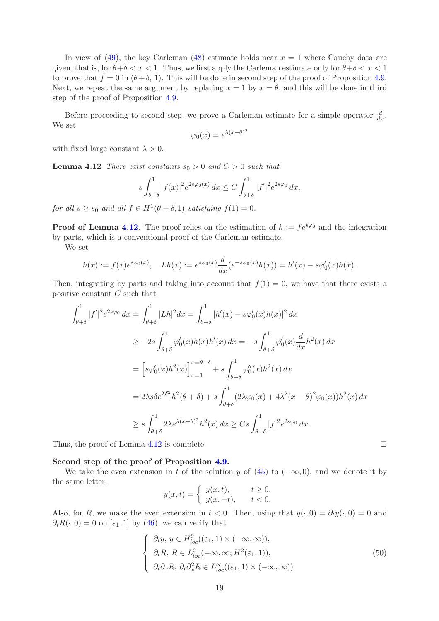In view of [\(49\)](#page-17-2), the key Carleman [\(48\)](#page-17-1) estimate holds near  $x = 1$  where Cauchy data are given, that is, for  $\theta + \delta < x < 1$ . Thus, we first apply the Carleman estimate only for  $\theta + \delta < x < 1$ to prove that  $f = 0$  in  $(\theta + \delta, 1)$ . This will be done in second step of the proof of Proposition [4.9.](#page-15-4) Next, we repeat the same argument by replacing  $x = 1$  by  $x = \theta$ , and this will be done in third step of the proof of Proposition [4.9.](#page-15-4)

Before proceeding to second step, we prove a Carleman estimate for a simple operator  $\frac{d}{dx}$ . We set

<span id="page-18-0"></span>
$$
\varphi_0(x) = e^{\lambda(x-\theta)^2}
$$

with fixed large constant  $\lambda > 0$ .

**Lemma 4.12** There exist constants  $s_0 > 0$  and  $C > 0$  such that

$$
s \int_{\theta+\delta}^1 |f(x)|^2 e^{2s\varphi_0(x)} dx \le C \int_{\theta+\delta}^1 |f'|^2 e^{2s\varphi_0} dx,
$$

for all  $s \geq s_0$  and all  $f \in H^1(\theta + \delta, 1)$  satisfying  $f(1) = 0$ .

**Proof of Lemma [4.12.](#page-18-0)** The proof relies on the estimation of  $h := fe^{s\varphi_0}$  and the integration by parts, which is a conventional proof of the Carleman estimate.

We set

$$
h(x) := f(x)e^{s\varphi_0(x)}, \quad Lh(x) := e^{s\varphi_0(x)}\frac{d}{dx}(e^{-s\varphi_0(x)}h(x)) = h'(x) - s\varphi'_0(x)h(x).
$$

Then, integrating by parts and taking into account that  $f(1) = 0$ , we have that there exists a positive constant C such that

$$
\int_{\theta+\delta}^{1} |f'|^{2} e^{2s\varphi_{0}} dx = \int_{\theta+\delta}^{1} |Lh|^{2} dx = \int_{\theta+\delta}^{1} |h'(x) - s\varphi_{0}'(x)h(x)|^{2} dx
$$
  
\n
$$
\geq -2s \int_{\theta+\delta}^{1} \varphi_{0}'(x)h(x)h'(x) dx = -s \int_{\theta+\delta}^{1} \varphi_{0}'(x) \frac{d}{dx} h^{2}(x) dx
$$
  
\n
$$
= \left[ s\varphi_{0}'(x)h^{2}(x) \right]_{x=1}^{x=\theta+\delta} + s \int_{\theta+\delta}^{1} \varphi_{0}''(x)h^{2}(x) dx
$$
  
\n
$$
= 2\lambda s \delta e^{\lambda \delta^{2}} h^{2}(\theta+\delta) + s \int_{\theta+\delta}^{1} (2\lambda \varphi_{0}(x) + 4\lambda^{2}(x-\theta)^{2} \varphi_{0}(x))h^{2}(x) dx
$$
  
\n
$$
\geq s \int_{\theta+\delta}^{1} 2\lambda e^{\lambda(x-\theta)^{2}} h^{2}(x) dx \geq Cs \int_{\theta+\delta}^{1} |f|^{2} e^{2s\varphi_{0}} dx.
$$

Thus, the proof of Lemma [4.12](#page-18-0) is complete.  $\Box$ 

#### Second step of the proof of Proposition [4.9.](#page-15-4)

We take the even extension in t of the solution y of [\(45\)](#page-15-3) to  $(-\infty,0)$ , and we denote it by the same letter:

$$
y(x,t) = \begin{cases} y(x,t), & t \ge 0, \\ y(x,-t), & t < 0. \end{cases}
$$

Also, for R, we make the even extension in  $t < 0$ . Then, using that  $y(\cdot, 0) = \partial_t y(\cdot, 0) = 0$  and  $\partial_t R(\cdot, 0) = 0$  on  $[\varepsilon_1, 1]$  by [\(46\)](#page-15-5), we can verify that

<span id="page-18-1"></span>
$$
\begin{cases}\n\partial_t y, y \in H^2_{loc}((\varepsilon_1, 1) \times (-\infty, \infty)), \\
\partial_t R, R \in L^2_{loc}(-\infty, \infty; H^2(\varepsilon_1, 1)), \\
\partial_t \partial_x R, \partial_t \partial_x^2 R \in L^\infty_{loc}((\varepsilon_1, 1) \times (-\infty, \infty))\n\end{cases}
$$
\n(50)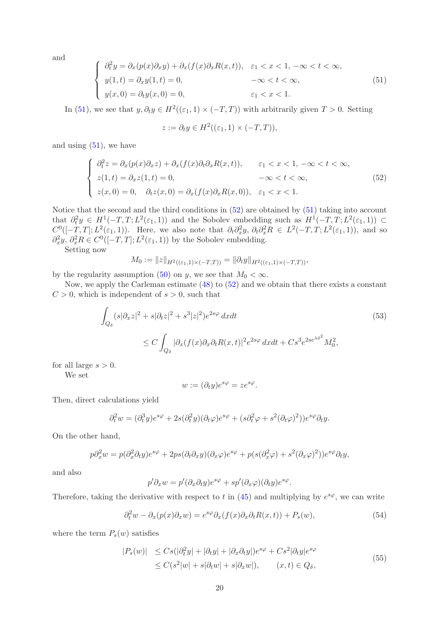and

<span id="page-19-0"></span>
$$
\begin{cases}\n\partial_t^2 y = \partial_x (p(x)\partial_x y) + \partial_x (f(x)\partial_x R(x,t)), & \varepsilon_1 < x < 1, \ -\infty < t < \infty, \\
y(1,t) = \partial_x y(1,t) = 0, & -\infty < t < \infty, \\
y(x,0) = \partial_t y(x,0) = 0, & \varepsilon_1 < x < 1.\n\end{cases} \tag{51}
$$

In [\(51\)](#page-19-0), we see that  $y, \partial_t y \in H^2((\varepsilon_1, 1) \times (-T, T))$  with arbitrarily given  $T > 0$ . Setting

$$
z := \partial_t y \in H^2((\varepsilon_1, 1) \times (-T, T)),
$$

and using  $(51)$ , we have

<span id="page-19-1"></span>
$$
\begin{cases}\n\partial_t^2 z = \partial_x (p(x)\partial_x z) + \partial_x (f(x)\partial_t \partial_x R(x,t)), & \varepsilon_1 < x < 1, -\infty < t < \infty, \\
z(1,t) = \partial_x z(1,t) = 0, & -\infty < t < \infty, \\
z(x,0) = 0, & \partial_t z(x,0) = \partial_x (f(x)\partial_x R(x,0)), & \varepsilon_1 < x < 1.\n\end{cases}
$$
\n(52)

Notice that the second and the third conditions in [\(52\)](#page-19-1) are obtained by [\(51\)](#page-19-0) taking into account that  $\partial_t^2 y \in H^1(-T, T; L^2(\varepsilon_1, 1))$  and the Sobolev embedding such as  $H^1(-T, T; L^2(\varepsilon_1, 1)) \subset$  $C^0([-T,T];L^2(\varepsilon_1,1))$ . Here, we also note that  $\partial_t \partial_x^2 y$ ,  $\partial_t \partial_x^2 R \in L^2(-T,T;L^2(\varepsilon_1,1))$ , and so  $\partial_x^2 y$ ,  $\partial_x^2 R \in C^0([-T, T]; L^2(\varepsilon_1, 1))$  by the Sobolev embedding.

Setting now

$$
M_0 := \|z\|_{H^2((\varepsilon_1,1)\times(-T,T))} = \|\partial_t y\|_{H^2((\varepsilon_1,1)\times(-T,T))},
$$

by the regularity assumption [\(50\)](#page-18-1) on y, we see that  $M_0 < \infty$ .

Now, we apply the Carleman estimate [\(48\)](#page-17-1) to [\(52\)](#page-19-1) and we obtain that there exists a constant  $C > 0$ , which is independent of  $s > 0$ , such that

$$
\int_{Q_{\delta}} (s|\partial_x z|^2 + s|\partial_t z|^2 + s^3|z|^2)e^{2s\varphi} dxdt
$$
\n
$$
\leq C \int_{Q_{\delta}} |\partial_x (f(x)\partial_x \partial_t R(x,t)|^2 e^{2s\varphi} dxdt + Cs^3 e^{2se^{\lambda \delta^2}}M_0^2,
$$
\n
$$
(53)
$$

for all large  $s > 0$ .

We set

<span id="page-19-2"></span>
$$
w := (\partial_t y)e^{s\varphi} = ze^{s\varphi}.
$$

Then, direct calculations yield

$$
\partial_t^2 w = (\partial_t^3 y) e^{s\varphi} + 2s(\partial_t^2 y)(\partial_t \varphi) e^{s\varphi} + (s \partial_t^2 \varphi + s^2(\partial_t \varphi)^2)) e^{s\varphi} \partial_t y.
$$

On the other hand,

$$
p\partial_x^2 w = p(\partial_x^2 \partial_t y)e^{s\varphi} + 2ps(\partial_t \partial_x y)(\partial_x \varphi)e^{s\varphi} + p(s(\partial_x^2 \varphi) + s^2(\partial_x \varphi)^2))e^{s\varphi}\partial_t y,
$$

and also

$$
p'\partial_x w = p'(\partial_x \partial_t y)e^{s\varphi} + sp'(\partial_x \varphi)(\partial_t y)e^{s\varphi}.
$$

Therefore, taking the derivative with respect to t in  $(45)$  and multiplying by  $e^{s\varphi}$ , we can write

<span id="page-19-3"></span>
$$
\partial_t^2 w - \partial_x(p(x)\partial_x w) = e^{s\varphi}\partial_x(f(x)\partial_x \partial_t R(x,t)) + P_s(w),\tag{54}
$$

where the term  $P_s(w)$  satisfies

<span id="page-19-4"></span>
$$
|P_s(w)| \le Cs(|\partial_t^2 y| + |\partial_t y| + |\partial_x \partial_t y|)e^{s\varphi} + Cs^2|\partial_t y|e^{s\varphi}
$$
  
\n
$$
\le C(s^2|w| + s|\partial_t w| + s|\partial_x w|), \qquad (x, t) \in Q_\delta,
$$
\n
$$
(55)
$$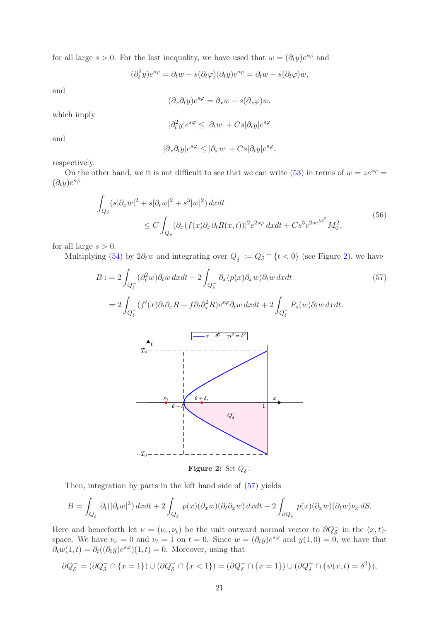for all large  $s > 0$ . For the last inequality, we have used that  $w = (\partial_t y)e^{s\varphi}$  and

$$
(\partial_t^2 y)e^{s\varphi} = \partial_t w - s(\partial_t \varphi)(\partial_t y)e^{s\varphi} = \partial_t w - s(\partial_t \varphi)w,
$$

and

$$
(\partial_x \partial_t y)e^{s\varphi} = \partial_x w - s(\partial_x \varphi)w,
$$

which imply

$$
|\partial_t^2 y|e^{s\varphi} \le |\partial_t w| + Cs|\partial_t y|e^{s\varphi}
$$

and

<span id="page-20-1"></span>
$$
|\partial_x \partial_t y|e^{s\varphi} \le |\partial_x w| + Cs|\partial_t y|e^{s\varphi},
$$

respectively.

On the other hand, we it is not difficult to see that we can write [\(53\)](#page-19-2) in terms of  $w = ze^{s\varphi} =$  $(\partial_t y)e^{s\varphi}$ 

<span id="page-20-2"></span>
$$
\int_{Q_{\delta}} (s|\partial_x w|^2 + s|\partial_t w|^2 + s^3|w|^2) dx dt
$$
\n
$$
\leq C \int_{Q_{\delta}} (\partial_x (f(x)\partial_x \partial_t R(x,t))]^2 e^{2s\varphi} dx dt + Cs^3 e^{2se^{\lambda \delta^2}} M_0^2,
$$
\n(56)

for all large  $s > 0$ .

<span id="page-20-0"></span>Multiplying [\(54\)](#page-19-3) by  $2\partial_t w$  and integrating over  $Q_{\delta}^- := Q_{\delta} \cap \{t < 0\}$  (see Figure [2\)](#page-20-0), we have

$$
B := 2 \int_{Q_{\delta}^-} (\partial_t^2 w) \partial_t w \, dx dt - 2 \int_{Q_{\delta}^-} \partial_x (p(x) \partial_x w) \partial_t w \, dx dt \tag{57}
$$
\n
$$
= 2 \int_{Q_{\delta}^-} (f'(x) \partial_t \partial_x R + f \partial_t \partial_x^2 R) e^{s\varphi} \partial_t w \, dx dt + 2 \int_{Q_{\delta}^-} P_s(w) \partial_t w \, dx dt.
$$
\n
$$
T_0 \begin{bmatrix} t & & & \\ t & -t & & \\ t & & & \\ t & & & \\ t & & & \\ t & & & \\ t & & & \\ t & & & \\ t & & & \\ t & & & \\ t & & & \\ t & & & \\ t & & & \\ t & & & \\ t & & & \\ t & & & \\ t & & & \\ t & & & \\ t & & & \\ t & & & \\ t & & & \\ t & & & \\ t & & & \\ t & & & \\ t & & & \\ t & & & \\ t & & & \\ t & & & \\ t & & & \\ t & & & \\ t & & & \\ t & & & \\ t & & & \\ t & & & \\ t & & & \\ t & & & \\ t & & & \\ t & & & \\ t & & & \\ t & & & \\ t & & & \\ t & & & \\ t & & & \\ t & & & \\ t & & & \\ t & & & \\ t & & & \\ t & & & \\ t & & & \\ t & & & \\ t & & & \\ t & & & \\ t & & & \\ t
$$

Figure 2: Set  $Q_{\delta}^-$ .

Then, integration by parts in the left hand side of [\(57\)](#page-20-1) yields

$$
B = \int_{Q_\delta^-} \partial_t (|\partial_t w|^2) \, dx dt + 2 \int_{Q_\delta^-} p(x) (\partial_x w) (\partial_t \partial_x w) \, dx dt - 2 \int_{\partial Q_\delta^-} p(x) (\partial_x w) (\partial_t w) \nu_x \, dS.
$$

Here and henceforth let  $\nu = (\nu_x, \nu_t)$  be the unit outward normal vector to  $\partial Q_{\delta}^-$  in the  $(x, t)$ space. We have  $\nu_x = 0$  and  $\nu_t = 1$  on  $t = 0$ . Since  $w = (\partial_t y)e^{s\varphi}$  and  $y(1,0) = 0$ , we have that  $\partial_t w(1,t) = \partial_t ((\partial_t y) e^{s\varphi})(1,t) = 0.$  Moreover, using that

$$
\partial Q_{\delta}^- = (\partial Q_{\delta}^- \cap \{x = 1\}) \cup (\partial Q_{\delta}^- \cap \{x < 1\}) = (\partial Q_{\delta}^- \cap \{x = 1\}) \cup (\partial Q_{\delta}^- \cap \{\psi(x, t) = \delta^2\}),
$$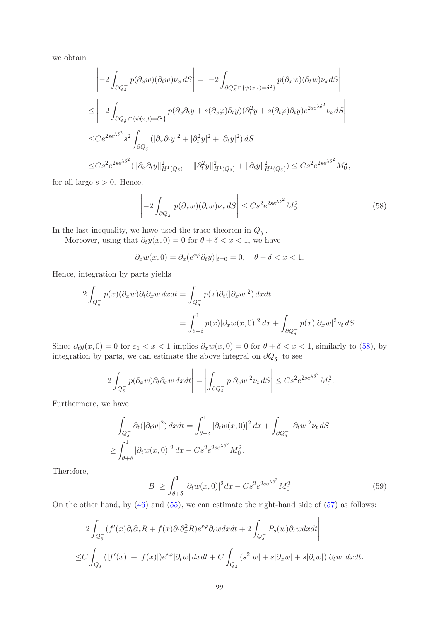we obtain

$$
\begin{split}\n&\left|-2\int_{\partial Q_{\delta}^{-}} p(\partial_{x}w)(\partial_{t}w)\nu_{x} \, dS\right| = \left|-2\int_{\partial Q_{\delta}^{-} \cap \{\psi(x,t) = \delta^{2}\}} p(\partial_{x}w)(\partial_{t}w)\nu_{x} dS\right| \\
&\leq \left|-2\int_{\partial Q_{\delta}^{-} \cap \{\psi(x,t) = \delta^{2}\}} p(\partial_{x}\partial_{t}y + s(\partial_{x}\varphi)\partial_{t}y)(\partial_{t}^{2}y + s(\partial_{t}\varphi)\partial_{t}y)e^{2se^{\lambda\delta^{2}}}\nu_{x} dS\right| \\
&\leq Ce^{2se^{\lambda\delta^{2}}} s^{2} \int_{\partial Q_{\delta}^{-}} (|\partial_{x}\partial_{t}y|^{2} + |\partial_{t}^{2}y|^{2} + |\partial_{t}y|^{2}) dS \\
&\leq Cs^{2}e^{2se^{\lambda\delta^{2}}} (\|\partial_{x}\partial_{t}y\|_{H^{1}(Q_{\delta})}^{2} + \|\partial_{t}^{2}y\|_{H^{1}(Q_{\delta})}^{2} + \|\partial_{t}y\|_{H^{1}(Q_{\delta})}^{2}) \leq Cs^{2}e^{2se^{\lambda\delta^{2}}} M_{0}^{2},\n\end{split}
$$

for all large  $s > 0$ . Hence,

<span id="page-21-0"></span>
$$
\left| -2 \int_{\partial Q_{\delta}^-} p(\partial_x w)(\partial_t w) \nu_x \, dS \right| \leq C s^2 e^{2se^{\lambda \delta^2}} M_0^2. \tag{58}
$$

In the last inequality, we have used the trace theorem in  $Q_{\delta}^-$ .

Moreover, using that  $\partial_t y(x, 0) = 0$  for  $\theta + \delta < x < 1$ , we have

$$
\partial_x w(x,0) = \partial_x (e^{s\varphi} \partial_t y)|_{t=0} = 0, \quad \theta + \delta < x < 1.
$$

Hence, integration by parts yields

$$
2\int_{Q_\delta^-} p(x)(\partial_x w)\partial_t \partial_x w \, dx dt = \int_{Q_\delta^-} p(x)\partial_t (|\partial_x w|^2) \, dx dt
$$
  
= 
$$
\int_{\theta+\delta}^1 p(x)|\partial_x w(x,0)|^2 \, dx + \int_{\partial Q_\delta^-} p(x)|\partial_x w|^2 \nu_t \, dS.
$$

Since  $\partial_t y(x,0) = 0$  for  $\varepsilon_1 < x < 1$  implies  $\partial_x w(x,0) = 0$  for  $\theta + \delta < x < 1$ , similarly to [\(58\)](#page-21-0), by integration by parts, we can estimate the above integral on  $\partial Q_{\delta}^-$  to see

$$
\left|2\int_{Q_\delta^-} p(\partial_x w)\partial_t \partial_x w \, dxdt\right| = \left|\int_{\partial Q_\delta^-} p|\partial_x w|^2 \nu_t \, dS\right| \leq Cs^2 e^{2se^{\lambda \delta^2}} M_0^2.
$$

Furthermore, we have

$$
\int_{Q_\delta^-} \partial_t (|\partial_t w|^2) \, dx dt = \int_{\theta+\delta}^1 |\partial_t w(x,0)|^2 \, dx + \int_{\partial Q_\delta^-} |\partial_t w|^2 \nu_t \, dS
$$
  
\n
$$
\geq \int_{\theta+\delta}^1 |\partial_t w(x,0)|^2 \, dx - Cs^2 e^{2se^{\lambda \delta^2}} M_0^2.
$$

Therefore,

<span id="page-21-1"></span>
$$
|B| \ge \int_{\theta+\delta}^{1} |\partial_t w(x,0)|^2 dx - Cs^2 e^{2se^{\lambda \delta^2}} M_0^2. \tag{59}
$$

On the other hand, by  $(46)$  and  $(55)$ , we can estimate the right-hand side of  $(57)$  as follows:

$$
\left|2\int_{Q_{\delta}^-} (f'(x)\partial_t \partial_x R + f(x)\partial_t \partial_x^2 R)e^{s\varphi}\partial_t w dx dt + 2\int_{Q_{\delta}^-} P_s(w)\partial_t w dx dt\right|
$$
  

$$
\leq C \int_{Q_{\delta}^-} (|f'(x)| + |f(x)|)e^{s\varphi}|\partial_t w| dx dt + C \int_{Q_{\delta}^-} (s^2|w| + s|\partial_x w| + s|\partial_t w|)|\partial_t w| dx dt.
$$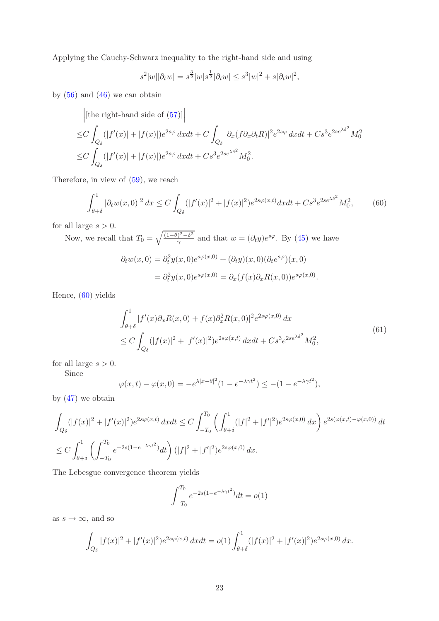Applying the Cauchy-Schwarz inequality to the right-hand side and using

$$
s^{2}|w||\partial_{t} w| = s^{\frac{3}{2}}|w|s^{\frac{1}{2}}|\partial_{t} w| \leq s^{3}|w|^{2} + s|\partial_{t} w|^{2},
$$

by  $(56)$  and  $(46)$  we can obtain

[the right-hand side of (57)]  
\n
$$
\leq C \int_{Q_{\delta}} (|f'(x)| + |f(x)|)e^{2s\varphi} dxdt + C \int_{Q_{\delta}} |\partial_x(f \partial_x \partial_t R)|^2 e^{2s\varphi} dxdt + Cs^3 e^{2se^{\lambda \delta^2}} M_0^2
$$
\n
$$
\leq C \int_{Q_{\delta}} (|f'(x)| + |f(x)|)e^{2s\varphi} dxdt + Cs^3 e^{2se^{\lambda \delta^2}} M_0^2.
$$

Therefore, in view of [\(59\)](#page-21-1), we reach

<span id="page-22-0"></span>
$$
\int_{\theta+\delta}^{1} |\partial_t w(x,0)|^2 dx \le C \int_{Q_\delta} (|f'(x)|^2 + |f(x)|^2) e^{2s\varphi(x,t)} dx dt + Cs^3 e^{2se^{\lambda\delta^2}} M_0^2,
$$
 (60)

for all large  $s > 0$ .

Now, we recall that  $T_0 = \sqrt{\frac{(1-\theta)^2 - \delta^2}{\gamma}}$  $\frac{y^2-\delta^2}{\gamma}$  and that  $w=(\partial_t y)e^{s\varphi}$ . By [\(45\)](#page-15-3) we have

$$
\partial_t w(x,0) = \partial_t^2 y(x,0) e^{s\varphi(x,0)} + (\partial_t y)(x,0) (\partial_t e^{s\varphi})(x,0)
$$
  
= 
$$
\partial_t^2 y(x,0) e^{s\varphi(x,0)} = \partial_x (f(x) \partial_x R(x,0)) e^{s\varphi(x,0)}.
$$

Hence, [\(60\)](#page-22-0) yields

<span id="page-22-1"></span>
$$
\int_{\theta+\delta}^{1} |f'(x)\partial_x R(x,0) + f(x)\partial_x^2 R(x,0)|^2 e^{2s\varphi(x,0)} dx
$$
\n
$$
\leq C \int_{Q_\delta} (|f(x)|^2 + |f'(x)|^2) e^{2s\varphi(x,t)} dx dt + Cs^3 e^{2se^{\lambda\delta^2}} M_0^2,
$$
\n(61)

for all large  $s > 0$ .

Since

$$
\varphi(x,t) - \varphi(x,0) = -e^{\lambda|x-\theta|^2}(1 - e^{-\lambda\gamma t^2}) \le -(1 - e^{-\lambda\gamma t^2}),
$$

by [\(47\)](#page-16-1) we obtain

$$
\int_{Q_{\delta}} (|f(x)|^2 + |f'(x)|^2) e^{2s\varphi(x,t)} \, dxdt \le C \int_{-T_0}^{T_0} \left( \int_{\theta+\delta}^1 (|f|^2 + |f'|^2) e^{2s\varphi(x,0)} \, dx \right) e^{2s(\varphi(x,t) - \varphi(x,0))} \, dt
$$
\n
$$
\le C \int_{\theta+\delta}^1 \left( \int_{-T_0}^{T_0} e^{-2s(1 - e^{-\lambda \gamma t^2})} dt \right) (|f|^2 + |f'|^2) e^{2s\varphi(x,0)} \, dx.
$$

The Lebesgue convergence theorem yields

$$
\int_{-T_0}^{T_0} e^{-2s(1-e^{-\lambda \gamma t^2})} dt = o(1)
$$

as  $s \to \infty$ , and so

$$
\int_{Q_{\delta}} |f(x)|^2 + |f'(x)|^2 e^{2s\varphi(x,t)} dx dt = o(1) \int_{\theta+\delta}^1 (|f(x)|^2 + |f'(x)|^2) e^{2s\varphi(x,0)} dx.
$$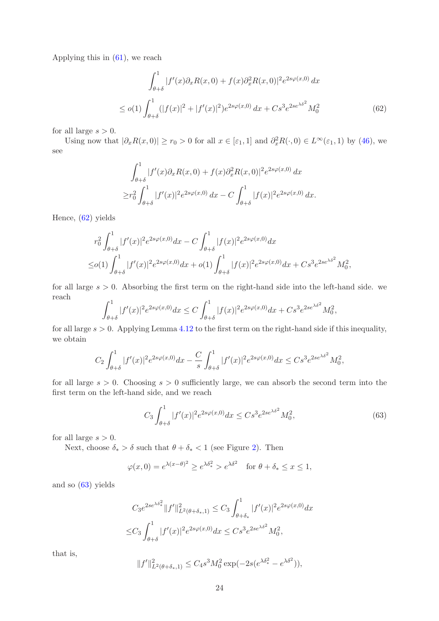Applying this in [\(61\)](#page-22-1), we reach

<span id="page-23-0"></span>
$$
\int_{\theta+\delta}^{1} |f'(x)\partial_x R(x,0) + f(x)\partial_x^2 R(x,0)|^2 e^{2s\varphi(x,0)} dx
$$
  
\n
$$
\leq o(1) \int_{\theta+\delta}^{1} (|f(x)|^2 + |f'(x)|^2) e^{2s\varphi(x,0)} dx + Cs^3 e^{2se^{\lambda\delta^2}} M_0^2
$$
\n(62)

for all large  $s > 0$ .

Using now that  $|\partial_x R(x,0)| \ge r_0 > 0$  for all  $x \in [\varepsilon_1,1]$  and  $\partial_x^2 R(\cdot,0) \in L^\infty(\varepsilon_1,1)$  by [\(46\)](#page-15-5), we see

$$
\int_{\theta+\delta}^{1} |f'(x)\partial_x R(x,0) + f(x)\partial_x^2 R(x,0)|^2 e^{2s\varphi(x,0)} dx
$$
  
\n
$$
\geq r_0^2 \int_{\theta+\delta}^{1} |f'(x)|^2 e^{2s\varphi(x,0)} dx - C \int_{\theta+\delta}^{1} |f(x)|^2 e^{2s\varphi(x,0)} dx.
$$

Hence, [\(62\)](#page-23-0) yields

$$
r_0^2 \int_{\theta+\delta}^1 |f'(x)|^2 e^{2s\varphi(x,0)} dx - C \int_{\theta+\delta}^1 |f(x)|^2 e^{2s\varphi(x,0)} dx
$$
  
 
$$
\leq o(1) \int_{\theta+\delta}^1 |f'(x)|^2 e^{2s\varphi(x,0)} dx + o(1) \int_{\theta+\delta}^1 |f(x)|^2 e^{2s\varphi(x,0)} dx + Cs^3 e^{2se^{\lambda\delta^2}} M_0^2,
$$

for all large  $s > 0$ . Absorbing the first term on the right-hand side into the left-hand side. we reach

$$
\int_{\theta+\delta}^1 |f'(x)|^2 e^{2s\varphi(x,0)} dx \le C \int_{\theta+\delta}^1 |f(x)|^2 e^{2s\varphi(x,0)} dx + Cs^3 e^{2se^{\lambda\delta^2}} M_0^2,
$$

for all large  $s > 0$ . Applying Lemma [4.12](#page-18-0) to the first term on the right-hand side if this inequality, we obtain

$$
C_2 \int_{\theta+\delta}^1 |f'(x)|^2 e^{2s\varphi(x,0)} dx - \frac{C}{s} \int_{\theta+\delta}^1 |f'(x)|^2 e^{2s\varphi(x,0)} dx \leq C s^3 e^{2se^{\lambda\delta^2}} M_0^2,
$$

for all large  $s > 0$ . Choosing  $s > 0$  sufficiently large, we can absorb the second term into the first term on the left-hand side, and we reach

<span id="page-23-1"></span>
$$
C_3 \int_{\theta+\delta}^1 |f'(x)|^2 e^{2s\varphi(x,0)} dx \leq C s^3 e^{2s e^{\lambda \delta^2}} M_0^2,
$$
\n(63)

for all large  $s > 0$ .

Next, choose  $\delta_* > \delta$  such that  $\theta + \delta_* < 1$  (see Figure [2\)](#page-20-0). Then

$$
\varphi(x,0) = e^{\lambda(x-\theta)^2} \ge e^{\lambda \delta_*^2} > e^{\lambda \delta^2} \quad \text{for } \theta + \delta_* \le x \le 1,
$$

and so [\(63\)](#page-23-1) yields

$$
C_3 e^{2se^{\lambda \delta_*^2}} \|f'\|_{L^2(\theta+\delta_*,1)}^2 \le C_3 \int_{\theta+\delta_*}^1 |f'(x)|^2 e^{2s\varphi(x,0)} dx
$$
  

$$
\le C_3 \int_{\theta+\delta}^1 |f'(x)|^2 e^{2s\varphi(x,0)} dx \le C s^3 e^{2se^{\lambda \delta^2}} M_0^2,
$$

that is,

$$
||f'||_{L^{2}(\theta+\delta_{*},1)}^{2} \leq C_{4}s^{3}M_{0}^{2}\exp(-2s(e^{\lambda\delta_{*}^{2}}-e^{\lambda\delta_{*}^{2}})),
$$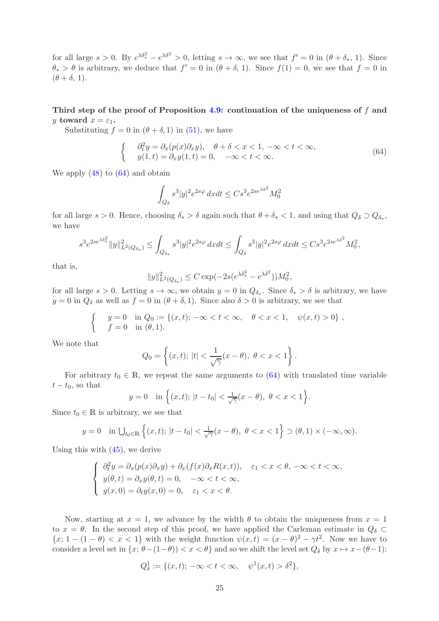for all large  $s > 0$ . By  $e^{\lambda \delta_*^2} - e^{\lambda \delta^2} > 0$ , letting  $s \to \infty$ , we see that  $f' = 0$  in  $(\theta + \delta_*, 1)$ . Since  $\theta_* > \theta$  is arbitrary, we deduce that  $f' = 0$  in  $(\theta + \delta, 1)$ . Since  $f(1) = 0$ , we see that  $f = 0$  in  $(\theta + \delta, 1).$ 

Third step of the proof of Proposition [4.9:](#page-15-4) continuation of the uniqueness of  $f$  and y toward  $x = \varepsilon_1$ .

Substituting  $f = 0$  in  $(\theta + \delta, 1)$  in [\(51\)](#page-19-0), we have

<span id="page-24-0"></span>
$$
\begin{cases}\n\partial_t^2 y = \partial_x (p(x)\partial_x y), \quad \theta + \delta < x < 1, \ -\infty < t < \infty, \\
y(1,t) = \partial_x y(1,t) = 0, \quad -\infty < t < \infty.\n\end{cases}\n\tag{64}
$$

We apply  $(48)$  to  $(64)$  and obtain

$$
\int_{Q_\delta} s^3|y|^2e^{2s\varphi}\,dxdt \leq Cs^3e^{2se^{\lambda\delta^2}}M_0^2
$$

for all large  $s > 0$ . Hence, choosing  $\delta_* > \delta$  again such that  $\theta + \delta_* < 1$ , and using that  $Q_{\delta} \supset Q_{\delta_*}$ , we have

$$
s^3 e^{2se^{\lambda \delta_*^2}} \|y\|_{L^2(Q_{\delta_*})}^2 \leq \int_{Q_{\delta_*}} s^3 |y|^2 e^{2s\varphi} \, dx dt \leq \int_{Q_{\delta}} s^3 |y|^2 e^{2s\varphi} \, dx dt \leq C s^3 e^{2se^{\lambda \delta^2}} M_0^2,
$$

that is,

$$
||y||_{L^{2}(Q_{\delta_*})}^{2} \leq C \exp(-2s(e^{\lambda \delta_*^2} - e^{\lambda \delta^2}))M_0^2,
$$

for all large  $s > 0$ . Letting  $s \to \infty$ , we obtain  $y = 0$  in  $Q_{\delta_*}$ . Since  $\delta_* > \delta$  is arbitrary, we have  $y = 0$  in  $Q_\delta$  as well as  $f = 0$  in  $(\theta + \delta, 1)$ . Since also  $\delta > 0$  is arbitrary, we see that

$$
\begin{cases} y = 0 & \text{in } Q_0 := \{(x, t); -\infty < t < \infty, \quad \theta < x < 1, \quad \psi(x, t) > 0\}, \\ f = 0 & \text{in } (\theta, 1). \end{cases}
$$

We note that

$$
Q_0 = \left\{ (x, t); \, |t| < \frac{1}{\sqrt{\gamma}} (x - \theta), \, \, \theta < x < 1 \right\}.
$$

For arbitrary  $t_0 \in \mathbb{R}$ , we repeat the same arguments to [\(64\)](#page-24-0) with translated time variable  $t - t_0$ , so that

$$
y = 0
$$
 in  $\{(x, t); |t - t_0| < \frac{1}{\sqrt{\gamma}}(x - \theta), \ \theta < x < 1\}.$ 

Since  $t_0 \in \mathbb{R}$  is arbitrary, we see that

$$
y = 0 \quad \text{in } \bigcup_{t_0 \in \mathbb{R}} \left\{ (x, t); \, |t - t_0| < \frac{1}{\sqrt{\gamma}} (x - \theta), \, \theta < x < 1 \right\} \supset (\theta, 1) \times (-\infty, \infty).
$$

Using this with [\(45\)](#page-15-3), we derive

$$
\begin{cases}\n\partial_t^2 y = \partial_x (p(x)\partial_x y) + \partial_x (f(x)\partial_x R(x,t)), & \varepsilon_1 < x < \theta, -\infty < t < \infty, \\
y(\theta, t) = \partial_x y(\theta, t) = 0, & -\infty < t < \infty, \\
y(x, 0) = \partial_t y(x, 0) = 0, & \varepsilon_1 < x < \theta.\n\end{cases}
$$

Now, starting at  $x = 1$ , we advance by the width  $\theta$  to obtain the uniqueness from  $x = 1$ to  $x = \theta$ . In the second step of this proof, we have applied the Carleman estimate in  $Q_{\delta} \subset$  ${x; 1 - (1 - \theta) < x < 1}$  with the weight function  $\psi(x, t) = (x - \theta)^2 - \gamma t^2$ . Now we have to consider a level set in  $\{x; \theta-(1-\theta)) < x < \theta\}$  and so we shift the level set  $Q_{\delta}$  by  $x \mapsto x-(\theta-1)$ :

$$
Q_{\delta}^{1} := \{ (x, t); \ -\infty < t < \infty, \quad \psi^{1}(x, t) > \delta^{2} \},
$$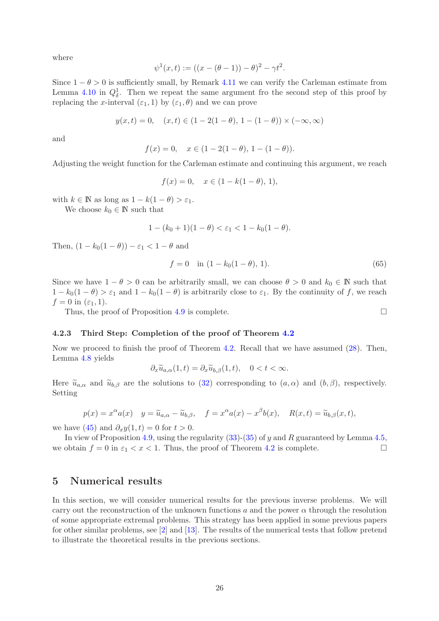where

$$
\psi^{1}(x,t) := ((x - (\theta - 1)) - \theta)^{2} - \gamma t^{2}.
$$

Since  $1 - \theta > 0$  is sufficiently small, by Remark [4.11](#page-17-3) we can verify the Carleman estimate from Lemma [4.10](#page-17-0) in  $Q^1_\delta$ . Then we repeat the same argument fro the second step of this proof by replacing the x-interval  $(\varepsilon_1, 1)$  by  $(\varepsilon_1, \theta)$  and we can prove

$$
y(x,t) = 0
$$
,  $(x,t) \in (1 - 2(1 - \theta), 1 - (1 - \theta)) \times (-\infty, \infty)$ 

and

$$
f(x) = 0, \quad x \in (1 - 2(1 - \theta), 1 - (1 - \theta)).
$$

Adjusting the weight function for the Carleman estimate and continuing this argument, we reach

$$
f(x) = 0, \quad x \in (1 - k(1 - \theta), 1),
$$

with  $k \in \mathbb{N}$  as long as  $1 - k(1 - \theta) > \varepsilon_1$ .

We choose  $k_0 \in \mathbb{N}$  such that

$$
1 - (k_0 + 1)(1 - \theta) < \varepsilon_1 < 1 - k_0(1 - \theta).
$$

Then,  $(1 - k_0(1 - \theta)) - \varepsilon_1 < 1 - \theta$  and

$$
f = 0 \quad \text{in } (1 - k_0(1 - \theta), 1). \tag{65}
$$

Since we have  $1 - \theta > 0$  can be arbitrarily small, we can choose  $\theta > 0$  and  $k_0 \in \mathbb{N}$  such that  $1 - k_0(1 - \theta) > \varepsilon_1$  and  $1 - k_0(1 - \theta)$  is arbitrarily close to  $\varepsilon_1$ . By the continuity of f, we reach  $f = 0$  in  $(\varepsilon_1, 1)$ .

Thus, the proof of Proposition [4.9](#page-15-4) is complete.  $\Box$ 

#### <span id="page-25-1"></span>4.2.3 Third Step: Completion of the proof of Theorem [4.2](#page-9-2)

Now we proceed to finish the proof of Theorem [4.2.](#page-9-2) Recall that we have assumed [\(28\)](#page-9-3). Then, Lemma [4.8](#page-15-1) yields

 $\partial_x \widetilde{u}_{a,\alpha}(1,t) = \partial_x \widetilde{u}_{b,\beta}(1,t), \quad 0 < t < \infty.$ 

Here  $\tilde{u}_{a,\alpha}$  and  $\tilde{u}_{b,\beta}$  are the solutions to [\(32\)](#page-11-2) corresponding to  $(a,\alpha)$  and  $(b,\beta)$ , respectively. Setting

$$
p(x) = x^{\alpha} a(x) \quad y = \widetilde{u}_{a,\alpha} - \widetilde{u}_{b,\beta}, \quad f = x^{\alpha} a(x) - x^{\beta} b(x), \quad R(x,t) = \widetilde{u}_{b,\beta}(x,t),
$$

we have [\(45\)](#page-15-3) and  $\partial_x y(1,t) = 0$  for  $t > 0$ .

In view of Proposition [4.9,](#page-15-4) using the regularity  $(33)-(35)$  $(33)-(35)$  of y and R guaranteed by Lemma [4.5,](#page-11-0) we obtain  $f = 0$  in  $\varepsilon_1 < x < 1$ . Thus, the proof of Theorem [4.2](#page-9-2) is complete.

# <span id="page-25-0"></span>5 Numerical results

In this section, we will consider numerical results for the previous inverse problems. We will carry out the reconstruction of the unknown functions a and the power  $\alpha$  through the resolution of some appropriate extremal problems. This strategy has been applied in some previous papers for other similar problems, see [\[2\]](#page-36-11) and [\[13\]](#page-36-12). The results of the numerical tests that follow pretend to illustrate the theoretical results in the previous sections.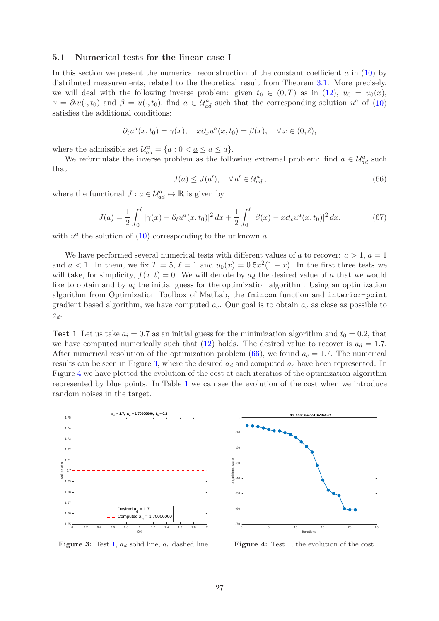### <span id="page-26-0"></span>5.1 Numerical tests for the linear case I

In this section we present the numerical reconstruction of the constant coefficient  $a$  in [\(10\)](#page-4-1) by distributed measurements, related to the theoretical result from Theorem [3.1.](#page-4-2) More precisely, we will deal with the following inverse problem: given  $t_0 \in (0,T)$  as in  $(12)$ ,  $u_0 = u_0(x)$ ,  $\gamma = \partial_t u(\cdot, t_0)$  and  $\beta = u(\cdot, t_0)$ , find  $a \in \mathcal{U}^a_{ad}$  such that the corresponding solution  $u^a$  of [\(10\)](#page-4-1) satisfies the additional conditions:

$$
\partial_t u^a(x, t_0) = \gamma(x), \quad x \partial_x u^a(x, t_0) = \beta(x), \quad \forall \, x \in (0, \ell),
$$

where the admissible set  $\mathcal{U}_{ad}^a = \{a : 0 < \underline{a} \le a \le \overline{a}\}.$ 

We reformulate the inverse problem as the following extremal problem: find  $a \in \mathcal{U}_{ad}^a$  such that

<span id="page-26-1"></span>
$$
J(a) \le J(a'), \quad \forall a' \in \mathcal{U}_{ad}^a,
$$
\n
$$
(66)
$$

where the functional  $J: a \in \mathcal{U}_{ad}^a \mapsto \mathbb{R}$  is given by

$$
J(a) = \frac{1}{2} \int_0^{\ell} |\gamma(x) - \partial_t u^a(x, t_0)|^2 dx + \frac{1}{2} \int_0^{\ell} |\beta(x) - x \partial_x u^a(x, t_0)|^2 dx, \tag{67}
$$

with  $u^a$  the solution of [\(10\)](#page-4-1) corresponding to the unknown  $a$ .

We have performed several numerical tests with different values of a to recover:  $a > 1$ ,  $a = 1$ and  $a < 1$ . In them, we fix  $T = 5$ ,  $\ell = 1$  and  $u_0(x) = 0.5x^2(1-x)$ . In the first three tests we will take, for simplicity,  $f(x, t) = 0$ . We will denote by  $a_d$  the desired value of a that we would like to obtain and by  $a_i$  the initial guess for the optimization algorithm. Using an optimization algorithm from Optimization Toolbox of MatLab, the fmincon function and interior-point gradient based algorithm, we have computed  $a_c$ . Our goal is to obtain  $a_c$  as close as possible to  $a_d$ .

<span id="page-26-3"></span>**Test 1** Let us take  $a_i = 0.7$  as an initial guess for the minimization algorithm and  $t_0 = 0.2$ , that we have computed numerically such that  $(12)$  holds. The desired value to recover is  $a_d = 1.7$ . After numerical resolution of the optimization problem [\(66\)](#page-26-1), we found  $a_c = 1.7$ . The numerical results can be seen in Figure [3,](#page-26-2) where the desired  $a_d$  and computed  $a_c$  have been represented. In Figure [4](#page-26-2) we have plotted the evolution of the cost at each iteratios of the optimization algorithm represented by blue points. In Table [1](#page-27-0) we can see the evolution of the cost when we introduce random noises in the target.

<span id="page-26-2"></span>

Figure 3: Test [1,](#page-26-3)  $a_d$  solid line,  $a_c$  dashed line.



Figure 4: Test [1,](#page-26-3) the evolution of the cost.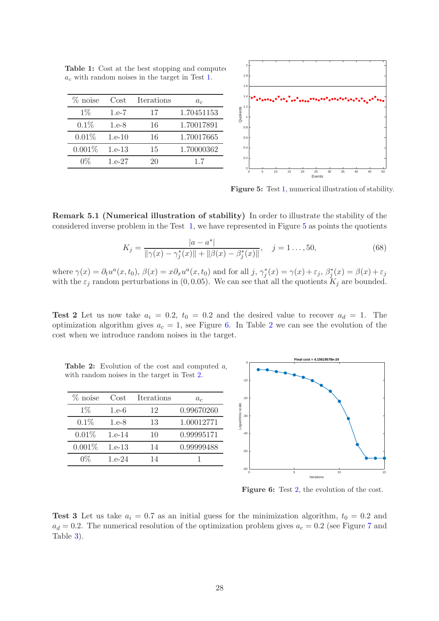| % noise | Cost     | Iterations | a <sub>c</sub> |
|---------|----------|------------|----------------|
| $1\%$   | $1.e-7$  | 17         | 1.70451153     |
| 0.1%    | $1.e-8$  | 16         | 1.70017891     |
| 0.01%   | $1.e-10$ | 16         | 1.70017665     |
| 0.001%  | $1.e-13$ | 15         | 1.70000362     |
| በጁ      | $1.e-27$ | 20         | 1.7            |

<span id="page-27-0"></span>Table 1: Cost at the best stopping and computed  $a<sub>c</sub>$  with random noises in the target in Test [1.](#page-26-3)

0 5 10 15 20 25 30 35 40 45 50 Events 0  $\overline{0}$ . 0.4 0.6 0.8 1 1.2 1.4 1.6 1.8 2 Quotie

<span id="page-27-1"></span>Figure 5: Test [1,](#page-26-3) numerical illustration of stability.

Remark 5.1 (Numerical illustration of stability) In order to illustrate the stability of the considered inverse problem in the Test [1,](#page-26-3) we have represented in Figure [5](#page-27-1) as points the quotients

$$
K_j = \frac{|a - a^*|}{\|\gamma(x) - \gamma_j^*(x)\| + \|\beta(x) - \beta_j^*(x)\|}, \quad j = 1..., 50,
$$
\n(68)

where  $\gamma(x) = \partial_t u^a(x, t_0)$ ,  $\beta(x) = x \partial_x u^a(x, t_0)$  and for all  $j$ ,  $\gamma_j^*(x) = \gamma(x) + \varepsilon_j$ ,  $\beta_j^*(x) = \beta(x) + \varepsilon_j$ with the  $\varepsilon_j$  random perturbations in (0,0.05). We can see that all the quotients  $K_j$  are bounded.

<span id="page-27-4"></span>**Test 2** Let us now take  $a_i = 0.2$ ,  $t_0 = 0.2$  and the desired value to recover  $a_d = 1$ . The optimization algorithm gives  $a_c = 1$ , see Figure [6.](#page-27-2) In Table [2](#page-27-3) we can see the evolution of the cost when we introduce random noises in the target.

<span id="page-27-3"></span>Table 2: Evolution of the cost and computed  $a$ with random noises in the target in Test [2.](#page-27-4)

| Cost     | Iterations | $a_c$      |
|----------|------------|------------|
| $1.e-6$  | 12         | 0.99670260 |
| $1.e-8$  | 13         | 1.00012771 |
| $1.e-14$ | 10         | 0.99995171 |
| $1.e-13$ | 14         | 0.99999488 |
| $1.e-24$ | 14         |            |
|          |            |            |



<span id="page-27-2"></span>Figure 6: Test [2,](#page-27-4) the evolution of the cost.

<span id="page-27-5"></span>**Test 3** Let us take  $a_i = 0.7$  as an initial guess for the minimization algorithm,  $t_0 = 0.2$  and  $a_d = 0.2$ . The numerical resolution of the optimization problem gives  $a_c = 0.2$  (see Figure [7](#page-28-0) and Table [3\)](#page-28-1).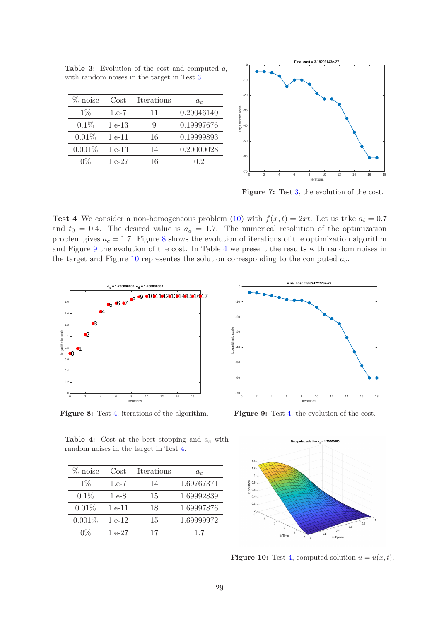| $%$ noise | Cost     | Iterations | a <sub>c</sub> |
|-----------|----------|------------|----------------|
| $1\%$     | $1.e-7$  | 11         | 0.20046140     |
| 0.1%      | $1.e-13$ | g          | 0.19997676     |
| $0.01\%$  | $1.e-11$ | 16         | 0.19999893     |
| $0.001\%$ | $1.e-13$ | 14         | 0.20000028     |
| በ%        | $1.e-27$ | 16         | 02             |

<span id="page-28-1"></span>Table 3: Evolution of the cost and computed  $a_i$ with random noises in the target in Test [3.](#page-27-5)



<span id="page-28-0"></span>Figure 7: Test [3,](#page-27-5) the evolution of the cost.

<span id="page-28-5"></span>**Test 4** We consider a non-homogeneous problem [\(10\)](#page-4-1) with  $f(x,t) = 2xt$ . Let us take  $a_i = 0.7$ and  $t_0 = 0.4$ . The desired value is  $a_d = 1.7$ . The numerical resolution of the optimization problem gives  $a_c = 1.7$ . Figure [8](#page-28-2) shows the evolution of iterations of the optimization algorithm and Figure [9](#page-28-2) the evolution of the cost. In Table [4](#page-28-3) we present the results with random noises in the target and Figure [10](#page-28-4) representes the solution corresponding to the computed  $a_c$ .

<span id="page-28-2"></span>

Figure 8: Test [4,](#page-28-5) iterations of the algorithm.



Figure 9: Test [4,](#page-28-5) the evolution of the cost.



<span id="page-28-3"></span>Table 4: Cost at the best stopping and  $a_c$  with random noises in the target in Test [4.](#page-28-5)

| $\%$ noise | Cost     | Iterations | $a_{\rm c}$ |
|------------|----------|------------|-------------|
| $1\%$      | $1.e-7$  | 14         | 1.69767371  |
| 0.1%       | $1.e-8$  | 15         | 1.69992839  |
| 0.01%      | $1.e-11$ | 18         | 1.69997876  |
| 0.001%     | $1.e-12$ | 15         | 1.69999972  |
| $0\%$      | $1.e-27$ | 17         | 1.7         |

<span id="page-28-4"></span>**Figure 10:** Test [4,](#page-28-5) computed solution  $u = u(x, t)$ .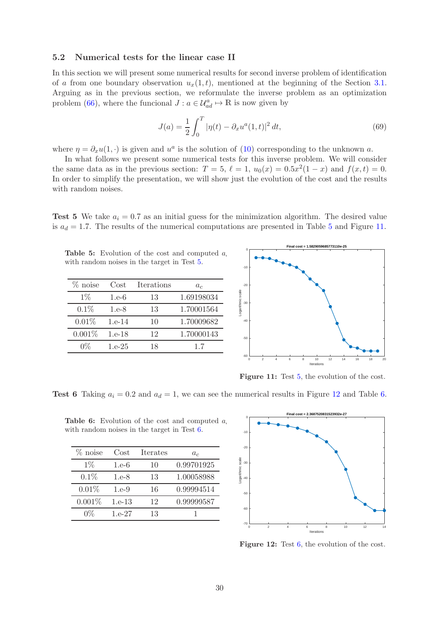# <span id="page-29-0"></span>5.2 Numerical tests for the linear case II

In this section we will present some numerical results for second inverse problem of identification of a from one boundary observation  $u_x(1,t)$ , mentioned at the beginning of the Section [3.1.](#page-4-0) Arguing as in the previous section, we reformulate the inverse problem as an optimization problem [\(66\)](#page-26-1), where the funcional  $J : a \in \mathcal{U}_{ad}^a \mapsto \mathbb{R}$  is now given by

$$
J(a) = \frac{1}{2} \int_0^T |\eta(t) - \partial_x u^a(1, t)|^2 dt,
$$
\n(69)

where  $\eta = \partial_x u(1, \cdot)$  is given and  $u^a$  is the solution of [\(10\)](#page-4-1) corresponding to the unknown a.

In what follows we present some numerical tests for this inverse problem. We will consider the same data as in the previous section:  $T = 5$ ,  $\ell = 1$ ,  $u_0(x) = 0.5x^2(1-x)$  and  $f(x,t) = 0$ . In order to simplify the presentation, we will show just the evolution of the cost and the results with random noises.

<span id="page-29-3"></span>**Test 5** We take  $a_i = 0.7$  as an initial guess for the minimization algorithm. The desired value is  $a_d = 1.7$ . The results of the numerical computations are presented in Table [5](#page-29-1) and Figure [11.](#page-29-2)

<span id="page-29-1"></span>Table 5: Evolution of the cost and computed  $a$ with random noises in the target in Test [5.](#page-29-3)

| $\%$ noise | Cost     | <b>Iterations</b> | a <sub>c</sub> |
|------------|----------|-------------------|----------------|
| $1\%$      | $1.e-6$  | 13                | 1.69198034     |
| $0.1\%$    | $1.e-8$  | 13                | 1.70001564     |
| 0.01%      | $1.e-14$ | 10                | 1.70009682     |
| 0.001%     | $1.e-18$ | 12                | 1.70000143     |
| 0%         | $1.e-25$ | 18                | 1.7            |



<span id="page-29-2"></span>Figure 11: Test [5,](#page-29-3) the evolution of the cost.

<span id="page-29-6"></span>**Test 6** Taking  $a_i = 0.2$  and  $a_d = 1$ , we can see the numerical results in Figure [12](#page-29-4) and Table [6.](#page-29-5)

**Table 6:** Evolution of the cost and computed  $a$ with random noises in the target in Test [6.](#page-29-6)

<span id="page-29-7"></span><span id="page-29-5"></span>

| $%$ noise | Cost     | <b>Iterates</b> | $a_c$      |
|-----------|----------|-----------------|------------|
| $1\%$     | $1.e-6$  | 10              | 0.99701925 |
| $0.1\%$   | $1.e-8$  | 13              | 1.00058988 |
| 0.01%     | 1.e.9    | 16              | 0.99994514 |
| 0.001%    | $1.e-13$ | 12              | 0.99999587 |
| በ%        | $1.e-27$ | 13              |            |



<span id="page-29-4"></span>Figure 12: Test [6,](#page-29-6) the evolution of the cost.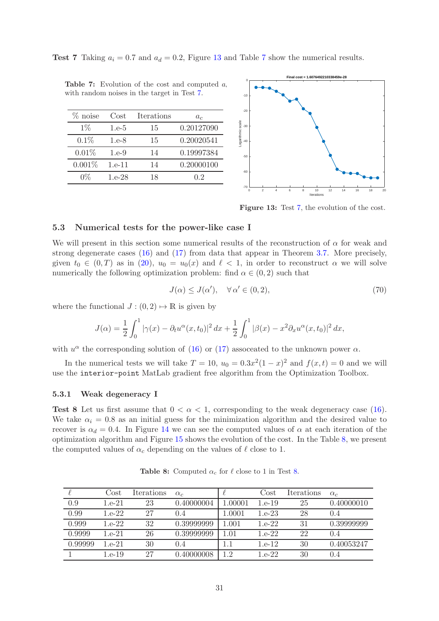**Test [7](#page-30-2)** Taking  $a_i = 0.7$  and  $a_d = 0.2$ , Figure [13](#page-30-1) and Table 7 show the numerical results.

| $%$ noise | Cost       | Iterations | $a_c$      |
|-----------|------------|------------|------------|
| $1\%$     | $1.e-5$    | 15         | 0.20127090 |
| 0.1%      | $1.e-8$    | 15         | 0.20020541 |
| 0.01%     | 1.e.9      | 14         | 0.19997384 |
| $0.001\%$ | $1.e-11$   | 14         | 0.20000100 |
| በ%        | $1.6 - 28$ | 18         | 02         |

<span id="page-30-2"></span>Table 7: Evolution of the cost and computed  $a$ with random noises in the target in Test [7.](#page-29-7)

**Final cost = 1.6076492210338459e-28** -10 -20 scale Logarithmic scale -30 -40 -50 -60 -70 0 2 4 6 8 10 12 14 16 18 20 Iterations

<span id="page-30-1"></span>Figure 13: Test [7,](#page-29-7) the evolution of the cost.

### <span id="page-30-0"></span>5.3 Numerical tests for the power-like case I

We will present in this section some numerical results of the reconstruction of  $\alpha$  for weak and strong degenerate cases [\(16\)](#page-6-1) and [\(17\)](#page-6-2) from data that appear in Theorem [3.7.](#page-7-0) More precisely, given  $t_0 \in (0, T)$  as in [\(20\)](#page-7-2),  $u_0 = u_0(x)$  and  $\ell < 1$ , in order to reconstruct  $\alpha$  we will solve numerically the following optimization problem: find  $\alpha \in (0, 2)$  such that

<span id="page-30-5"></span>
$$
J(\alpha) \le J(\alpha'), \quad \forall \alpha' \in (0, 2), \tag{70}
$$

where the functional  $J : (0, 2) \mapsto \mathbb{R}$  is given by

$$
J(\alpha) = \frac{1}{2} \int_0^1 |\gamma(x) - \partial_t u^{\alpha}(x, t_0)|^2 dx + \frac{1}{2} \int_0^1 |\beta(x) - x^2 \partial_x u^{\alpha}(x, t_0)|^2 dx,
$$

with  $u^{\alpha}$  the corresponding solution of [\(16\)](#page-6-1) or [\(17\)](#page-6-2) assoceated to the unknown power  $\alpha$ .

In the numerical tests we will take  $T = 10$ ,  $u_0 = 0.3x^2(1-x)^2$  and  $f(x,t) = 0$  and we will use the interior-point MatLab gradient free algorithm from the Optimization Toolbox.

#### <span id="page-30-4"></span>5.3.1 Weak degeneracy I

**Test 8** Let us first assume that  $0 < \alpha < 1$ , corresponding to the weak degeneracy case [\(16\)](#page-6-1). We take  $\alpha_i = 0.8$  as an initial guess for the minimization algorithm and the desired value to recover is  $\alpha_d = 0.4$ . In Figure [14](#page-31-0) we can see the computed values of  $\alpha$  at each iteration of the optimization algorithm and Figure [15](#page-31-0) shows the evolution of the cost. In the Table [8,](#page-30-3) we present the computed values of  $\alpha_c$  depending on the values of  $\ell$  close to 1.

<span id="page-30-3"></span>

|         | Cost     | Iterations | $\alpha_c$ |         | Cost     | Iterations | $\alpha_c$ |
|---------|----------|------------|------------|---------|----------|------------|------------|
| 0.9     | $1.e-21$ | 23         | 0.40000004 | 1.00001 | $1.e-19$ | 25         | 0.40000010 |
| 0.99    | $1.e-22$ | 27         | (0.4)      | 1.0001  | $1.e-23$ | 28         | (1.4)      |
| 0.999   | $1.e-22$ | 32         | 0.39999999 | 1.001   | $1.e-22$ | 31         | 0.39999999 |
| 0.9999  | $1.e-21$ | 26         | 0.39999999 | 1.01    | $1.e-22$ | 22         | (1.4)      |
| 0.99999 | $1.e-21$ | 30         | 0.4        |         | $1.e-12$ | 30         | 0.40053247 |
|         | 1.e-19   | -27        | 0.40000008 | 1.2     | 1.e.22   | 30         | (1.4)      |

**Table 8:** Computed  $\alpha_c$  for  $\ell$  close to 1 in Test [8.](#page-30-4)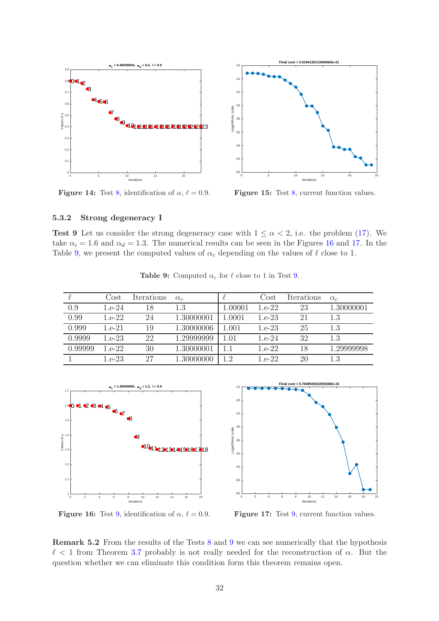<span id="page-31-0"></span>

**Figure 14:** Test [8,](#page-30-4) identification of  $\alpha$ ,  $\ell = 0.9$ .

Figure 15: Test [8,](#page-30-4) current function values.

# <span id="page-31-3"></span>5.3.2 Strong degeneracy I

<span id="page-31-2"></span>Test 9 Let us consider the strong degeneracy case with  $1 \leq \alpha < 2$ , i.e. the problem [\(17\)](#page-6-2). We take  $\alpha_i = 1.6$  and  $\alpha_d = 1.3$ . The numerical results can be seen in the Figures [16](#page-31-1) and [17.](#page-31-1) In the Table [9,](#page-31-2) we present the computed values of  $\alpha_c$  depending on the values of  $\ell$  close to 1.

|         | Cost     | Iterations | $\alpha_c$ |         | Cost     | Iterations | $\alpha_c$ |
|---------|----------|------------|------------|---------|----------|------------|------------|
| 0.9     | $1.e-24$ | 18         | 1.3        | 1.00001 | $1.e-22$ | 23         | 1.30000001 |
| 0.99    | $1.e-22$ | 24         | 1.30000001 | 1.0001  | $1.e-23$ | 21         | 1.3        |
| 0.999   | 1.e-21   | 19         | 1.30000006 | 1.001   | $1.e-23$ | 25         | 1.3        |
| 0.9999  | $1.e-23$ | 22         | 1.29999999 | 1.01    | $1.e-24$ | 32         | 1.3        |
| 0.99999 | $1.e-22$ | 30         | 1.30000001 |         | $1.e-22$ | 18         | 1.29999998 |
|         | $1.e-23$ | 27         | 1.30000000 | 1.2     | $1.e-22$ | 20         | 1.3        |

**Table 9:** Computed  $\alpha_c$  for  $\ell$  close to 1 in Test [9.](#page-31-3)

<span id="page-31-1"></span>

**Figure 16:** Test [9,](#page-31-3) identification of  $\alpha$ ,  $\ell = 0.9$ .

Figure 17: Test [9,](#page-31-3) current function values.

Remark 5.2 From the results of the Tests [8](#page-30-4) and [9](#page-31-3) we can see numerically that the hypothesis  $\ell$  < 1 from Theorem [3.7](#page-7-0) probably is not really needed for the reconstruction of  $\alpha$ . But the question whether we can eliminate this condition form this theorem remains open.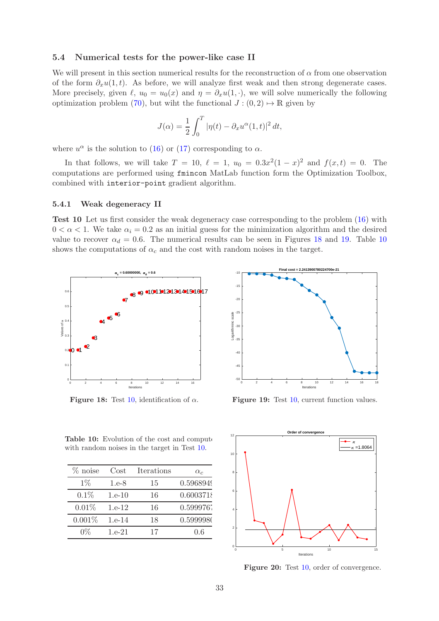# <span id="page-32-0"></span>5.4 Numerical tests for the power-like case II

We will present in this section numerical results for the reconstruction of  $\alpha$  from one observation of the form  $\partial_x u(1,t)$ . As before, we will analyze first weak and then strong degenerate cases. More precisely, given  $\ell$ ,  $u_0 = u_0(x)$  and  $\eta = \partial_x u(1, \cdot)$ , we will solve numerically the following optimization problem [\(70\)](#page-30-5), but wiht the functional  $J : (0, 2) \mapsto \mathbb{R}$  given by

$$
J(\alpha) = \frac{1}{2} \int_0^T |\eta(t) - \partial_x u^{\alpha}(1, t)|^2 dt,
$$

where  $u^{\alpha}$  is the solution to [\(16\)](#page-6-1) or [\(17\)](#page-6-2) corresponding to  $\alpha$ .

In that follows, we will take  $T = 10, \ell = 1, u_0 = 0.3x^2(1 - x)^2$  and  $f(x, t) = 0$ . The computations are performed using fmincon MatLab function form the Optimization Toolbox, combined with interior-point gradient algorithm.

#### <span id="page-32-3"></span>5.4.1 Weak degeneracy II

Test 10 Let us first consider the weak degeneracy case corresponding to the problem [\(16\)](#page-6-1) with  $0 < \alpha < 1$ . We take  $\alpha_i = 0.2$  as an initial guess for the minimization algorithm and the desired value to recover  $\alpha_d = 0.6$ . The numerical results can be seen in Figures [18](#page-32-1) and [19.](#page-32-1) Table [10](#page-32-2) shows the computations of  $\alpha_c$  and the cost with random noises in the target.

<span id="page-32-1"></span>

**Figure 18:** Test [10,](#page-32-3) identification of  $\alpha$ .



Figure 19: Test [10,](#page-32-3) current function values.

<span id="page-32-2"></span>Table 10: Evolution of the cost and compute with random noises in the target in Test [10.](#page-32-3)

| $%$ noise | Cost     | <b>Iterations</b> | $\alpha_c$ |
|-----------|----------|-------------------|------------|
| $1\%$     | $1.e-8$  | 15                | 0.5968949  |
| 0.1%      | $1.e-10$ | 16                | 0.6003718  |
| 0.01%     | $1.e-12$ | 16                | 0.599976   |
| 0.001%    | $1.e-14$ | 18                | 0.5999980  |
| በጁ        | $1.e-21$ | 17                | Ո 6        |



<span id="page-32-4"></span>Figure 20: Test [10,](#page-32-3) order of convergence.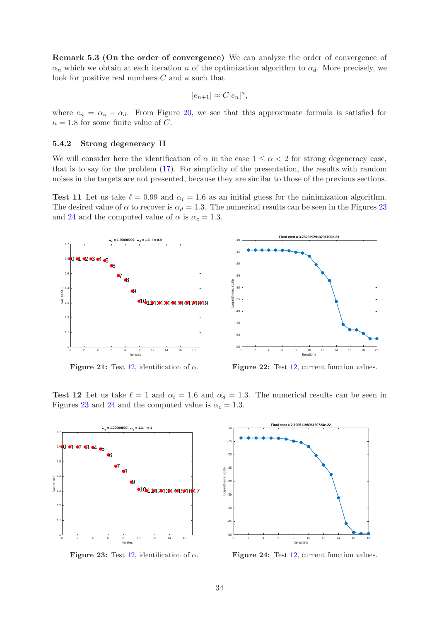Remark 5.3 (On the order of convergence) We can analyze the order of convergence of  $\alpha_n$  which we obtain at each iteration n of the optimization algorithm to  $\alpha_d$ . More precisely, we look for positive real numbers  $C$  and  $\kappa$  such that

$$
|e_{n+1}| \approx C |e_n|^{\kappa},
$$

where  $e_n = \alpha_n - \alpha_d$ . From Figure [20,](#page-32-4) we see that this approximate formula is satisfied for  $\kappa = 1.8$  for some finite value of C.

### 5.4.2 Strong degeneracy II

We will consider here the identification of  $\alpha$  in the case  $1 \leq \alpha < 2$  for strong degeneracy case, that is to say for the problem [\(17\)](#page-6-2). For simplicity of the presentation, the results with random noises in the targets are not presented, because they are similar to those of the previous sections.

Test 11 Let us take  $\ell = 0.99$  and  $\alpha_i = 1.6$  as an initial guess for the minimization algorithm. The desired value of  $\alpha$  to recover is  $\alpha_d = 1.3$ . The numerical results can be seen in the Figures [23](#page-33-0) and [24](#page-33-0) and the computed value of  $\alpha$  is  $\alpha_c = 1.3$ .



Figure 21: Test [12,](#page-33-1) identification of  $\alpha$ .



<span id="page-33-1"></span>Test 12 Let us take  $\ell = 1$  and  $\alpha_i = 1.6$  and  $\alpha_d = 1.3$ . The numerical results can be seen in Figures [23](#page-33-0) and [24](#page-33-0) and the computed value is  $\alpha_c = 1.3$ .

<span id="page-33-0"></span>

Figure 23: Test [12,](#page-33-1) identification of  $\alpha$ .



Figure 24: Test [12,](#page-33-1) current function values.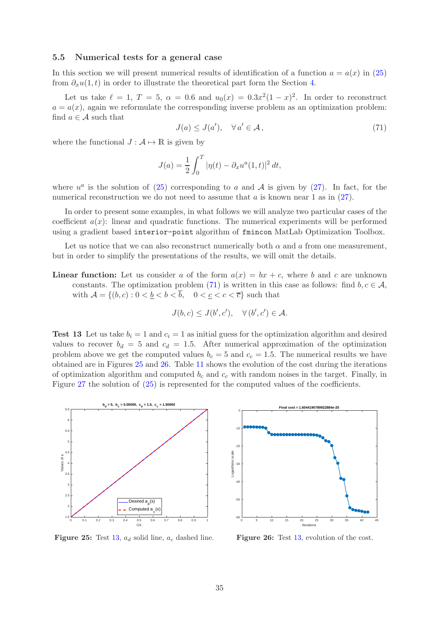### 5.5 Numerical tests for a general case

In this section we will present numerical results of identification of a function  $a = a(x)$  in [\(25\)](#page-8-2) from  $\partial_x u(1,t)$  in order to illustrate the theoretical part form the Section [4.](#page-8-0)

Let us take  $\ell = 1, T = 5, \alpha = 0.6$  and  $u_0(x) = 0.3x^2(1-x)^2$ . In order to reconstruct  $a = a(x)$ , again we reformulate the corresponding inverse problem as an optimization problem: find  $a \in \mathcal{A}$  such that

<span id="page-34-0"></span>
$$
J(a) \le J(a'), \quad \forall a' \in \mathcal{A}, \tag{71}
$$

where the functional  $J : A \mapsto \mathbb{R}$  is given by

$$
J(a) = \frac{1}{2} \int_0^T |\eta(t) - \partial_x u^a(1, t)|^2 dt,
$$

where  $u^a$  is the solution of [\(25\)](#page-8-2) corresponding to a and A is given by [\(27\)](#page-9-4). In fact, for the numerical reconstruction we do not need to assume that  $a$  is known near 1 as in  $(27)$ .

In order to present some examples, in what follows we will analyze two particular cases of the coefficient  $a(x)$ : linear and quadratic functions. The numerical experiments will be performed using a gradient based interior-point algorithm of fmincon MatLab Optimization Toolbox.

Let us notice that we can also reconstruct numerically both  $\alpha$  and  $\alpha$  from one measurement, but in order to simplify the presentations of the results, we will omit the details.

**Linear function:** Let us consider a of the form  $a(x) = bx + c$ , where b and c are unknown constants. The optimization problem [\(71\)](#page-34-0) is written in this case as follows: find  $b, c \in \mathcal{A}$ , with  $\mathcal{A} = \{(b, c) : 0 < b < b < \overline{b}, 0 < c < c < \overline{c}\}\)$  such that

$$
J(b,c) \leq J(b',c'), \quad \forall (b',c') \in \mathcal{A}.
$$

<span id="page-34-2"></span>**Test 13** Let us take  $b_i = 1$  and  $c_i = 1$  as initial guess for the optimization algorithm and desired values to recover  $b_d = 5$  and  $c_d = 1.5$ . After numerical approximation of the optimization problem above we get the computed values  $b_c = 5$  and  $c_c = 1.5$ . The numerical results we have obtained are in Figures [25](#page-34-1) and [26.](#page-34-1) Table [11](#page-35-0) shows the evolution of the cost during the iterations of optimization algorithm and computed  $b_c$  and  $c_c$  with random noises in the target. Finally, in Figure [27](#page-35-1) the solution of [\(25\)](#page-8-2) is represented for the computed values of the coefficients.

<span id="page-34-1"></span>



Figure 25: Test [13,](#page-34-2)  $a_d$  solid line,  $a_c$  dashed line.

Figure 26: Test [13,](#page-34-2) evolution of the cost.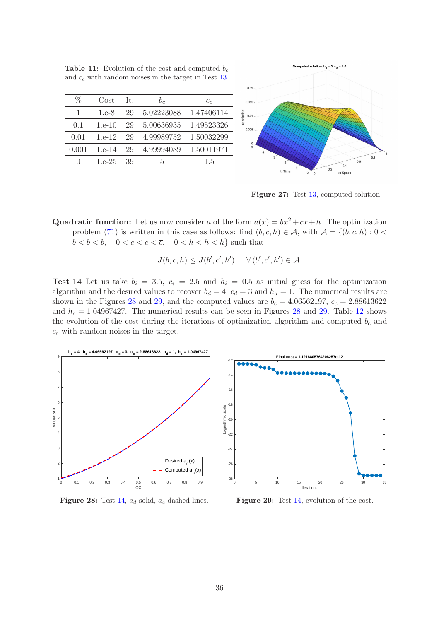| ℅            | Cost     | It. | b <sub>c</sub> | $c_{c}$    |
|--------------|----------|-----|----------------|------------|
|              | 1.e.8    | 29  | 5.02223088     | 1.47406114 |
| $(1)$ . 1    | $1.e-10$ | 29  | 5.00636935     | 1.49523326 |
| 0.01         | $1.e-12$ | 29  | 4.99989752     | 1.50032299 |
| 0.001        | $1.e-14$ | 29  | 4.99994089     | 1.50011971 |
| $\mathbf{0}$ | $1.e-25$ | 39  | 5              | 1.5        |

<span id="page-35-0"></span>**Table 11:** Evolution of the cost and computed  $b_c$ and  $c<sub>c</sub>$  with random noises in the target in Test [13.](#page-34-2)

 $0.02$  $0.015$  $0.01$  $0.00$ t: Time x: Space

<span id="page-35-1"></span>Figure 27: Test [13,](#page-34-2) computed solution.

Quadratic function: Let us now consider a of the form  $a(x) = bx^2 + cx + h$ . The optimization problem [\(71\)](#page-34-0) is written in this case as follows: find  $(b, c, h) \in \mathcal{A}$ , with  $\mathcal{A} = \{(b, c, h): 0 \leq b \leq h\}$  $\frac{\overline{b}}{b} < b < \overline{b}$ ,  $0 < \underline{c} < c < \overline{c}$ ,  $0 < \underline{h} < h < \overline{h}$  such that

$$
J(b,c,h) \leq J(b',c',h'), \quad \forall (b',c',h') \in \mathcal{A}.
$$

<span id="page-35-3"></span>Test 14 Let us take  $b_i = 3.5$ ,  $c_i = 2.5$  and  $h_i = 0.5$  as initial guess for the optimization algorithm and the desired values to recover  $b_d = 4$ ,  $c_d = 3$  and  $h_d = 1$ . The numerical results are shown in the Figures [28](#page-35-2) and [29,](#page-35-2) and the computed values are  $b_c = 4.06562197$ ,  $c_c = 2.88613622$ and  $h_c = 1.04967427$ . The numerical results can be seen in Figures [28](#page-35-2) and [29.](#page-35-2) Table [12](#page-36-13) shows the evolution of the cost during the iterations of optimization algorithm and computed  $b_c$  and  $c_c$  with random noises in the target.

<span id="page-35-2"></span>

Figure 28: Test [14,](#page-35-3)  $a_d$  solid,  $a_c$  dashed lines.

Figure 29: Test [14,](#page-35-3) evolution of the cost.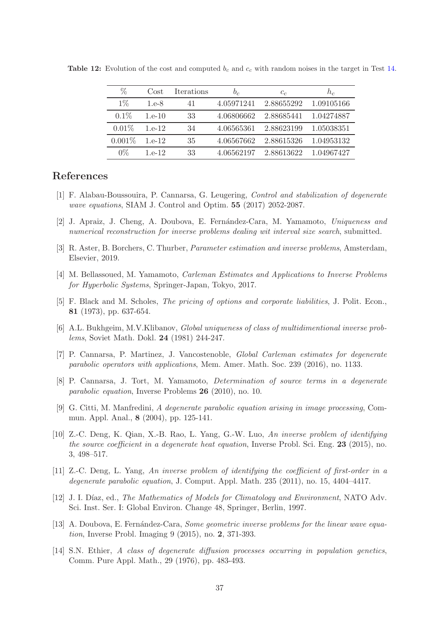<span id="page-36-13"></span>

| %         | Cost     | <b>Iterations</b> | $b_c$      | $c_{c}$    | h,         |
|-----------|----------|-------------------|------------|------------|------------|
| $1\%$     | 1.e.8    | 41                | 4.05971241 | 2.88655292 | 1.09105166 |
| $0.1\%$   | $1.e-10$ | 33                | 4.06806662 | 2.88685441 | 1.04274887 |
| $0.01\%$  | $1.e-12$ | 34                | 4.06565361 | 2.88623199 | 1.05038351 |
| $0.001\%$ | $1.e-12$ | 35                | 4.06567662 | 2.88615326 | 1.04953132 |
| $0\%$     | 1 e-12   | 33                | 4.06562197 | 2.88613622 | 1.04967427 |

Table 12: Evolution of the cost and computed  $b_c$  and  $c_c$  with random noises in the target in Test [14.](#page-35-3)

# <span id="page-36-10"></span>References

- <span id="page-36-11"></span>[1] F. Alabau-Boussouira, P. Cannarsa, G. Leugering, Control and stabilization of degenerate wave equations, SIAM J. Control and Optim. **55** (2017) 2052-2087.
- [2] J. Apraiz, J. Cheng, A. Doubova, E. Fern´andez-Cara, M. Yamamoto, Uniqueness and numerical reconstruction for inverse problems dealing wit interval size search, submitted.
- <span id="page-36-9"></span>[3] R. Aster, B. Borchers, C. Thurber, Parameter estimation and inverse problems, Amsterdam, Elsevier, 2019.
- <span id="page-36-3"></span>[4] M. Bellassoued, M. Yamamoto, Carleman Estimates and Applications to Inverse Problems for Hyperbolic Systems, Springer-Japan, Tokyo, 2017.
- <span id="page-36-8"></span>[5] F. Black and M. Scholes, The pricing of options and corporate liabilities, J. Polit. Econ., 81 (1973), pp. 637-654.
- <span id="page-36-4"></span>[6] A.L. Bukhgeim, M.V.Klibanov, Global uniqueness of class of multidimentional inverse problems, Soviet Math. Dokl. 24 (1981) 244-247.
- <span id="page-36-5"></span>[7] P. Cannarsa, P. Martinez, J. Vancostenoble, Global Carleman estimates for degenerate parabolic operators with applications, Mem. Amer. Math. Soc. 239 (2016), no. 1133.
- [8] P. Cannarsa, J. Tort, M. Yamamoto, Determination of source terms in a degenerate parabolic equation, Inverse Problems 26 (2010), no. 10.
- <span id="page-36-2"></span>[9] G. Citti, M. Manfredini, A degenerate parabolic equation arising in image processing, Commun. Appl. Anal., 8 (2004), pp. 125-141.
- <span id="page-36-6"></span>[10] Z.-C. Deng, K. Qian, X.-B. Rao, L. Yang, G.-W. Luo, An inverse problem of identifying the source coefficient in a degenerate heat equation, Inverse Probl. Sci. Eng. 23 (2015), no. 3, 498–517.
- <span id="page-36-7"></span>[11] Z.-C. Deng, L. Yang, An inverse problem of identifying the coefficient of first-order in a degenerate parabolic equation, J. Comput. Appl. Math. 235 (2011), no. 15, 4404–4417.
- <span id="page-36-0"></span>[12] J. I. Díaz, ed., *The Mathematics of Models for Climatology and Environment*, NATO Adv. Sci. Inst. Ser. I: Global Environ. Change 48, Springer, Berlin, 1997.
- <span id="page-36-12"></span>[13] A. Doubova, E. Fernández-Cara, *Some geometric inverse problems for the linear wave equa*tion, Inverse Probl. Imaging 9 (2015), no. 2, 371-393.
- <span id="page-36-1"></span>[14] S.N. Ethier, A class of degenerate diffusion processes occurring in population genetics, Comm. Pure Appl. Math., 29 (1976), pp. 483-493.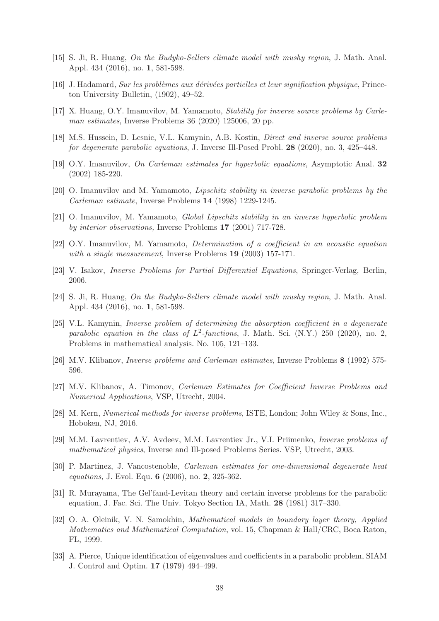- <span id="page-37-2"></span>[15] S. Ji, R. Huang, On the Budyko-Sellers climate model with mushy region, J. Math. Anal. Appl. 434 (2016), no. 1, 581-598.
- <span id="page-37-11"></span> $[16]$  J. Hadamard, Sur les problèmes aux dérivées partielles et leur signification physique, Princeton University Bulletin, (1902), 49–52.
- <span id="page-37-3"></span>[17] X. Huang, O.Y. Imanuvilov, M. Yamamoto, Stability for inverse source problems by Carleman estimates, Inverse Problems 36 (2020) 125006, 20 pp.
- <span id="page-37-15"></span>[18] M.S. Hussein, D. Lesnic, V.L. Kamynin, A.B. Kostin, Direct and inverse source problems for degenerate parabolic equations, J. Inverse Ill-Posed Probl. 28 (2020), no. 3, 425–448.
- <span id="page-37-10"></span>[19] O.Y. Imanuvilov, On Carleman estimates for hyperbolic equations, Asymptotic Anal. 32 (2002) 185-220.
- <span id="page-37-12"></span>[20] O. Imanuvilov and M. Yamamoto, Lipschitz stability in inverse parabolic problems by the Carleman estimate, Inverse Problems 14 (1998) 1229-1245.
- <span id="page-37-13"></span>[21] O. Imanuvilov, M. Yamamoto, Global Lipschitz stability in an inverse hyperbolic problem by interior observations, Inverse Problems 17 (2001) 717-728.
- <span id="page-37-5"></span>[22] O.Y. Imanuvilov, M. Yamamoto, Determination of a coefficient in an acoustic equation with a single measurement, Inverse Problems 19 (2003) 157-171.
- <span id="page-37-0"></span>[23] V. Isakov, Inverse Problems for Partial Differential Equations, Springer-Verlag, Berlin, 2006.
- [24] S. Ji, R. Huang, On the Budyko-Sellers climate model with mushy region, J. Math. Anal. Appl. 434 (2016), no. 1, 581-598.
- <span id="page-37-4"></span>[25] V.L. Kamynin, Inverse problem of determining the absorption coefficient in a degenerate parabolic equation in the class of  $L^2$ -functions, J. Math. Sci. (N.Y.) 250 (2020), no. 2, Problems in mathematical analysis. No. 105, 121–133.
- <span id="page-37-14"></span>[26] M.V. Klibanov, Inverse problems and Carleman estimates, Inverse Problems 8 (1992) 575- 596.
- [27] M.V. Klibanov, A. Timonov, Carleman Estimates for Coefficient Inverse Problems and Numerical Applications, VSP, Utrecht, 2004.
- <span id="page-37-8"></span>[28] M. Kern, Numerical methods for inverse problems, ISTE, London; John Wiley & Sons, Inc., Hoboken, NJ, 2016.
- <span id="page-37-9"></span>[29] M.M. Lavrentiev, A.V. Avdeev, M.M. Lavrentiev Jr., V.I. Priimenko, Inverse problems of mathematical physics, Inverse and Ill-posed Problems Series. VSP, Utrecht, 2003.
- [30] P. Martinez, J. Vancostenoble, Carleman estimates for one-dimensional degenerate heat equations, J. Evol. Equ. 6 (2006), no. 2, 325-362.
- <span id="page-37-6"></span>[31] R. Murayama, The Gel'fand-Levitan theory and certain inverse problems for the parabolic equation, J. Fac. Sci. The Univ. Tokyo Section IA, Math. 28 (1981) 317–330.
- <span id="page-37-1"></span>[32] O. A. Oleinik, V. N. Samokhin, Mathematical models in boundary layer theory, Applied Mathematics and Mathematical Computation, vol. 15, Chapman & Hall/CRC, Boca Raton, FL, 1999.
- <span id="page-37-7"></span>[33] A. Pierce, Unique identification of eigenvalues and coefficients in a parabolic problem, SIAM J. Control and Optim. 17 (1979) 494–499.